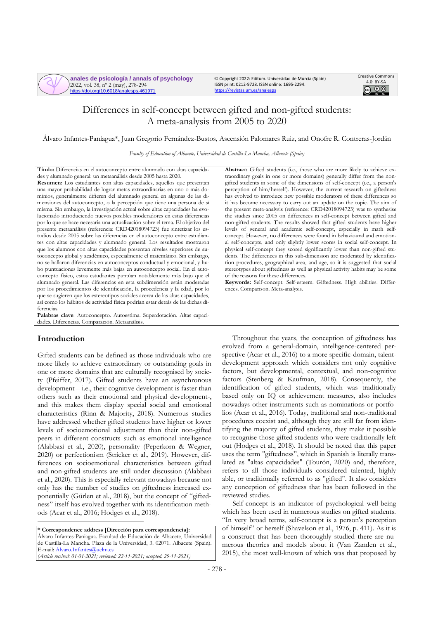**anales de psicología / annals of psychology** 2022, vol. 38, nº 2 (may), 278-294 https://doi.org/10.6018/analesps.461971

© Copyright 2022: Editum. Universidad de Murcia (Spain) ISSN print: 0212-9728. ISSN online: 1695-2294. <https://revistas.um.es/analesps>



# Differences in self-concept between gifted and non-gifted students: A meta-analysis from 2005 to 2020

Álvaro Infantes-Paniagua\*, Juan Gregorio Fernández-Bustos, Ascensión Palomares Ruiz, and Onofre R. Contreras-Jordán

*Faculty of Education of Albacete, Universidad de Castilla-La Mancha, Albacete (Spain)*

**Título:** Diferencias en el autoconcepto entre alumnado con altas capacidades y alumnado general: un metaanálisis desde 2005 hasta 2020.

**Resumen:** Los estudiantes con altas capacidades, aquellos que presentan una mayor probabilidad de lograr metas extraordinarias en uno o más dominios, generalmente difieren del alumnado general en algunas de las dimensiones del autoconcepto, o la percepción que tiene una persona de sí misma. Sin embargo, la investigación actual sobre altas capacidades ha evolucionado introduciendo nuevos posibles moderadores en estas diferencias por lo que se hace necesaria una actualización sobre el tema. El objetivo del presente metaanálisis (referencia: CRD42018094723) fue sintetizar los estudios desde 2005 sobre las diferencias en el autoconcepto entre estudiantes con altas capacidades y alumnado general. Los resultados mostraron que los alumnos con altas capacidades presentan niveles superiores de autoconcepto global y académico, especialmente el matemático. Sin embargo, no se hallaron diferencias en autoconceptos conductual y emocional, y hubo puntuaciones levemente más bajas en autoconcepto social. En el autoconcepto físico, estos estudiantes puntúan notablemente más bajo que el alumnado general. Las diferencias en esta subdimensión están moderadas por los procedimientos de identificación, la procedencia y la edad, por lo que se sugieren que los estereotipos sociales acerca de las altas capacidades, así como los hábitos de actividad física podrían estar detrás de las dichas diferencias.

**Palabras clave**: Autoconcepto. Autoestima. Superdotación. Altas capacidades. Diferencias. Comparación. Metaanálisis.

### **Introduction**

Gifted students can be defined as those individuals who are more likely to achieve extraordinary or outstanding goals in one or more domains that are culturally recognised by society (Pfeiffer, 2017). Gifted students have an asynchronous development – i.e., their cognitive development is faster than others such as their emotional and physical development-, and this makes them display special social and emotional characteristics (Rinn & Majority, 2018). Numerous studies have addressed whether gifted students have higher or lower levels of socioemotional adjustment than their non-gifted peers in different constructs such as emotional intelligence (Alabbasi et al., 2020), personality (Peperkorn & Wegner, 2020) or perfectionism (Stricker et al., 2019). However, differences on socioemotional characteristics between gifted and non-gifted students are still under discussion (Alabbasi et al., 2020). This is especially relevant nowadays because not only has the number of studies on giftedness increased exponentially (Gürlen et al., 2018), but the concept of "giftedness" itself has evolved together with its identification methods (Acar et al., 2016; Hodges et al., 2018).

**\* Correspondence address [Dirección para correspondencia]:** Álvaro Infantes-Paniagua. Facultad de Educación de Albacete, Universidad de Castilla-La Mancha. Plaza de la Universidad, 3. 02071. Albacete (Spain). E-mail[: Alvaro.Infantes@uclm.es](mailto:Alvaro.Infantes@uclm.es) *(Article received: 01-01-2021; reviewed: 22-11-2021; accepted: 29-11-2021)*

**Abstract:** Gifted students (i.e., those who are more likely to achieve extraordinary goals in one or more domains) generally differ from the nongifted students in some of the dimensions of self-concept (i.e., a person's perception of him/herself). However, the current research on giftedness has evolved to introduce new possible moderators of these differences so it has become necessary to carry out an update on the topic. The aim of the present meta-analysis (reference: CRD42018094723) was to synthesise the studies since 2005 on differences in self-concept between gifted and non-gifted students. The results showed that gifted students have higher levels of general and academic self-concept, especially in math selfconcept. However, no differences were found in behavioural and emotional self-concepts, and only slightly lower scores in social self-concept. In physical self-concept they scored significantly lower than non-gifted students. The differences in this sub-dimension are moderated by identification procedures, geographical area, and age, so it is suggested that social stereotypes about giftedness as well as physical activity habits may be some of the reasons for these differences.

**Keywords:** Self-concept. Self-esteem. Giftedness. High abilities. Differences. Comparison. Meta-analysis.

Throughout the years, the conception of giftedness has evolved from a general-domain, intelligence-centered perspective (Acar et al., 2016) to a more specific-domain, talentdevelopment approach which considers not only cognitive factors, but developmental, contextual, and non-cognitive factors (Stenberg & Kaufman, 2018). Consequently, the identification of gifted students, which was traditionally based only on IQ or achievement measures, also includes nowadays other instruments such as nominations or portfolios (Acar et al., 2016). Today, traditional and non-traditional procedures coexist and, although they are still far from identifying the majority of gifted students, they make it possible to recognise those gifted students who were traditionally left out (Hodges et al., 2018). It should be noted that this paper uses the term "giftedness", which in Spanish is literally translated as "altas capacidades" (Tourón, 2020) and, therefore, refers to all those individuals considered talented, highly able, or traditionally referred to as "gifted". It also considers any conception of giftedness that has been followed in the reviewed studies.

Self-concept is an indicator of psychological well-being which has been used in numerous studies on gifted students. "In very broad terms, self-concept is a person's perception of himself" or herself (Shavelson et al., 1976, p. 411). As it is a construct that has been thoroughly studied there are numerous theories and models about it (Van Zanden et al., 2015), the most well-known of which was that proposed by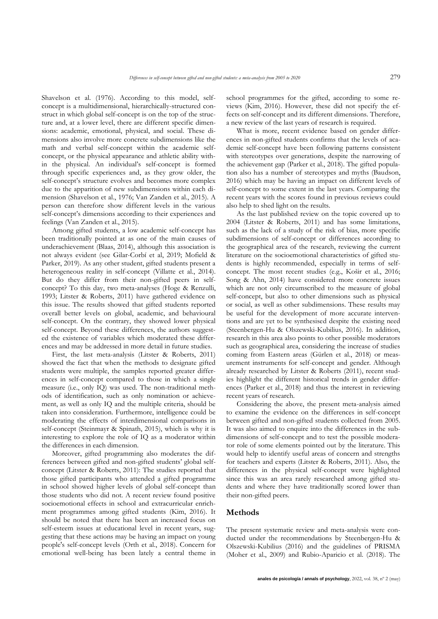Shavelson et al. (1976). According to this model, selfconcept is a multidimensional, hierarchically-structured construct in which global self-concept is on the top of the structure and, at a lower level, there are different specific dimensions: academic, emotional, physical, and social. These dimensions also involve more concrete subdimensions like the math and verbal self-concept within the academic selfconcept, or the physical appearance and athletic ability within the physical. An individual's self-concept is formed through specific experiences and, as they grow older, the self-concept's structure evolves and becomes more complex due to the apparition of new subdimensions within each dimension (Shavelson et al., 1976; Van Zanden et al., 2015). A person can therefore show different levels in the various self-concept's dimensions according to their experiences and feelings (Van Zanden et al., 2015).

Among gifted students, a low academic self-concept has been traditionally pointed at as one of the main causes of underachievement (Blaas, 2014), although this association is not always evident (see Gilar-Corbí et al, 2019; Mofield & Parker, 2019). As any other student, gifted students present a heterogeneous reality in self-concept (Villatte et al., 2014). But do they differ from their non-gifted peers in selfconcept? To this day, two meta-analyses (Hoge & Renzulli, 1993; Litster & Roberts, 2011) have gathered evidence on this issue. The results showed that gifted students reported overall better levels on global, academic, and behavioural self-concept. On the contrary, they showed lower physical self-concept. Beyond these differences, the authors suggested the existence of variables which moderated these differences and may be addressed in more detail in future studies.

First, the last meta-analysis (Litster & Roberts, 2011) showed the fact that when the methods to designate gifted students were multiple, the samples reported greater differences in self-concept compared to those in which a single measure (i.e., only IQ) was used. The non-traditional methods of identification, such as only nomination or achievement, as well as only IQ and the multiple criteria, should be taken into consideration. Furthermore, intelligence could be moderating the effects of interdimensional comparisons in self-concept (Steinmayr & Spinath, 2015), which is why it is interesting to explore the role of IQ as a moderator within the differences in each dimension.

Moreover, gifted programming also moderates the differences between gifted and non-gifted students' global selfconcept (Litster & Roberts, 2011): The studies reported that those gifted participants who attended a gifted programme in school showed higher levels of global self-concept than those students who did not. A recent review found positive socioemotional effects in school and extracurricular enrichment programmes among gifted students (Kim, 2016). It should be noted that there has been an increased focus on self-esteem issues at educational level in recent years, suggesting that these actions may be having an impact on young people's self-concept levels (Orth et al., 2018). Concern for emotional well-being has been lately a central theme in school programmes for the gifted, according to some reviews (Kim, 2016). However, these did not specify the effects on self-concept and its different dimensions. Therefore, a new review of the last years of research is required.

What is more, recent evidence based on gender differences in non-gifted students confirms that the levels of academic self-concept have been following patterns consistent with stereotypes over generations, despite the narrowing of the achievement gap (Parker et al., 2018). The gifted population also has a number of stereotypes and myths (Baudson, 2016) which may be having an impact on different levels of self-concept to some extent in the last years. Comparing the recent years with the scores found in previous reviews could also help to shed light on the results.

As the last published review on the topic covered up to 2004 (Litster & Roberts, 2011) and has some limitations, such as the lack of a study of the risk of bias, more specific subdimensions of self-concept or differences according to the geographical area of the research, reviewing the current literature on the socioemotional characteristics of gifted students is highly recommended, especially in terms of selfconcept. The most recent studies (e.g., Košir et al., 2016; Song & Ahn, 2014) have considered more concrete issues which are not only circumscribed to the measure of global self-concept, but also to other dimensions such as physical or social, as well as other subdimensions. These results may be useful for the development of more accurate interventions and are yet to be synthesised despite the existing need (Steenbergen-Hu & Olszewski-Kubilius, 2016). In addition, research in this area also points to other possible moderators such as geographical area, considering the increase of studies coming from Eastern areas (Gürlen et al., 2018) or measurement instruments for self-concept and gender. Although already researched by Litster & Roberts (2011), recent studies highlight the different historical trends in gender differences (Parker et al., 2018) and thus the interest in reviewing recent years of research.

Considering the above, the present meta-analysis aimed to examine the evidence on the differences in self-concept between gifted and non-gifted students collected from 2005. It was also aimed to enquire into the differences in the subdimensions of self-concept and to test the possible moderator role of some elements pointed out by the literature. This would help to identify useful areas of concern and strengths for teachers and experts (Litster & Roberts, 2011). Also, the differences in the physical self-concept were highlighted since this was an area rarely researched among gifted students and where they have traditionally scored lower than their non-gifted peers.

#### **Methods**

The present systematic review and meta-analysis were conducted under the recommendations by Steenbergen-Hu & Olszewski-Kubilius (2016) and the guidelines of PRISMA (Moher et al., 2009) and Rubio-Aparicio et al. (2018). The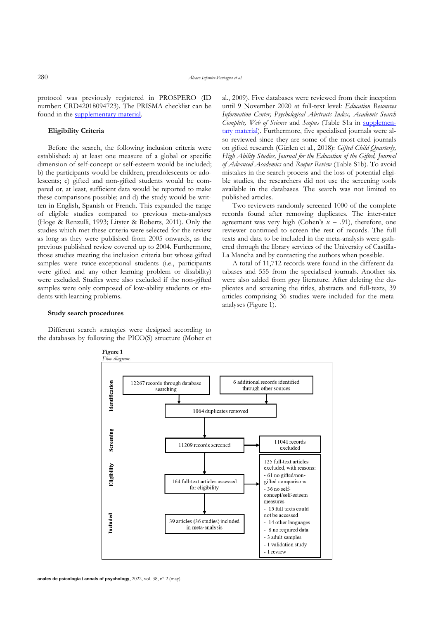protocol was previously registered in PROSPERO (ID number: CRD42018094723). The PRISMA checklist can be found in the [supplementary material.](https://revistas.um.es/analesps/article/view/461971/323961)

#### **Eligibility Criteria**

Before the search, the following inclusion criteria were established: a) at least one measure of a global or specific dimension of self-concept or self-esteem would be included; b) the participants would be children, preadolescents or adolescents; c) gifted and non-gifted students would be compared or, at least, sufficient data would be reported to make these comparisons possible; and d) the study would be written in English, Spanish or French. This expanded the range of eligible studies compared to previous meta-analyses (Hoge & Renzulli, 1993; Litster & Roberts, 2011). Only the studies which met these criteria were selected for the review as long as they were published from 2005 onwards, as the previous published review covered up to 2004. Furthermore, those studies meeting the inclusion criteria but whose gifted samples were twice-exceptional students (i.e., participants were gifted and any other learning problem or disability) were excluded. Studies were also excluded if the non-gifted samples were only composed of low-ability students or students with learning problems.

#### **Study search procedures**

Different search strategies were designed according to the databases by following the PICO(S) structure (Moher et al., 2009). Five databases were reviewed from their inception until 9 November 2020 at full-text level*: Education Resources Information Center, Psychological Abstracts Index, Academic Search Complete, Web of Science* and *Scopus* (Table S1a in [supplemen](https://revistas.um.es/analesps/article/view/461971/323961)[tary material\)](https://revistas.um.es/analesps/article/view/461971/323961). Furthermore, five specialised journals were also reviewed since they are some of the most-cited journals on gifted research (Gürlen et al., 2018): *Gifted Child Quarterly, High Ability Studies, Journal for the Education of the Gifted, Journal of Advanced Academics* and *Roeper Review* (Table S1b). To avoid mistakes in the search process and the loss of potential eligible studies, the researchers did not use the screening tools available in the databases. The search was not limited to published articles.

Two reviewers randomly screened 1000 of the complete records found after removing duplicates. The inter-rater agreement was very high (Cohen's *κ* = .91), therefore, one reviewer continued to screen the rest of records. The full texts and data to be included in the meta-analysis were gathered through the library services of the University of Castilla-La Mancha and by contacting the authors when possible.

A total of 11,712 records were found in the different databases and 555 from the specialised journals. Another six were also added from grey literature. After deleting the duplicates and screening the titles, abstracts and full-texts, 39 articles comprising 36 studies were included for the metaanalyses (Figure 1).

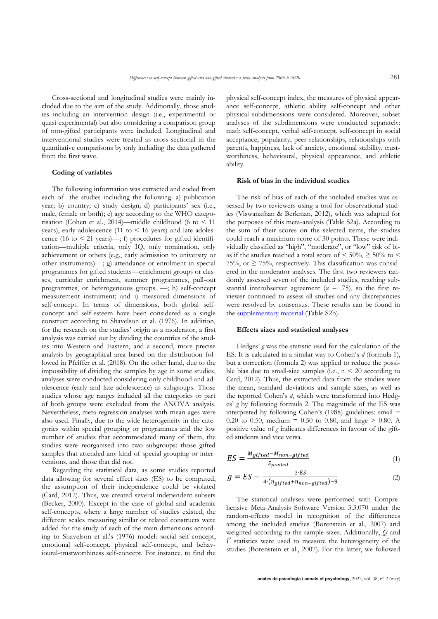Cross-sectional and longitudinal studies were mainly included due to the aim of the study. Additionally, those studies including an intervention design (i.e., experimental or quasi-experimental) but also considering a comparison group of non-gifted participants were included. Longitudinal and interventional studies were treated as cross-sectional in the quantitative comparisons by only including the data gathered from the first wave.

#### **Coding of variables**

The following information was extracted and coded from each of the studies including the following: a) publication year; b) country; c) study design; d) participants' sex (i.e., male, female or both); e) age according to the WHO categorisation (Cohen et al., 2014)—middle childhood (6 to  $\leq 11$ years), early adolescence (11 to  $\leq$  16 years) and late adolescence (16 to  $\leq$  21 years)—; f) procedures for gifted identification—multiple criteria, only IQ, only nomination, only achievement or others (e.g., early admission to university or other instruments)—; g) attendance or enrolment in special programmes for gifted students—enrichment groups or classes, curricular enrichment, summer programmes, pull-out programmes, or heterogeneous groups. —; h) self-concept measurement instrument; and i) measured dimensions of self-concept. In terms of dimensions, both global selfconcept and self-esteem have been considered as a single construct according to Shavelson et al. (1976). In addition, for the research on the studies' origin as a moderator, a first analysis was carried out by dividing the countries of the studies into Western and Eastern, and a second, more precise analysis by geographical area based on the distribution followed in Pfeiffer et al. (2018). On the other hand, due to the impossibility of dividing the samples by age in some studies, analyses were conducted considering only childhood and adolescence (early and late adolescence) as subgroups. Those studies whose age ranges included all the categories or part of both groups were excluded from the ANOVA analysis. Nevertheless, meta-regression analyses with mean ages were also used. Finally, due to the wide heterogeneity in the categories within special grouping or programmes and the low number of studies that accommodated many of them, the studies were reorganised into two subgroups: those gifted samples that attended any kind of special grouping or interventions, and those that did not.

Regarding the statistical data, as some studies reported data allowing for several effect sizes (ES) to be computed, the assumption of their independence could be violated (Card, 2012). Thus, we created several independent subsets (Becker, 2000). Except in the case of global and academic self-concepts, where a large number of studies existed, the different scales measuring similar or related constructs were added for the study of each of the main dimensions according to Shavelson et al.'s (1976) model: social self-concept, emotional self-concept, physical self-concept, and behavioural-trustworthiness self-concept. For instance, to find the physical self-concept index, the measures of physical appearance self-concept, athletic ability self-concept and other physical subdimensions were considered. Moreover, subset analyses of the subdimensions were conducted separately: math self-concept, verbal self-concept, self-concept in social acceptance, popularity, peer relationships, relationships with parents, happiness, lack of anxiety, emotional stability, trustworthiness, behavioural, physical appearance, and athletic ability.

#### **Risk of bias in the individual studies**

The risk of bias of each of the included studies was assessed by two reviewers using a tool for observational studies (Viswanathan & Berkman, 2012), which was adapted for the purposes of this meta-analysis (Table S2a). According to the sum of their scores on the selected items, the studies could reach a maximum score of 30 points. These were individually classified as "high", "moderate", or "low" risk of bias if the studies reached a total score of  $\leq 50\%$ ,  $\geq 50\%$  to  $\leq$ 75%, or  $\geq$  75%, respectively. This classification was considered in the moderator analyses. The first two reviewers randomly assessed seven of the included studies, reaching substantial interobserver agreement ( $x = .75$ ), so the first reviewer continued to assess all studies and any discrepancies were resolved by consensus. These results can be found in the [supplementary material](https://revistas.um.es/analesps/$$$call$$$/api/file/file-api/download-library-file?libraryFileId=9131&submissionId=461971) (Table S2b).

#### **Effects sizes and statistical analyses**

Hedges' *g* was the statistic used for the calculation of the ES. It is calculated in a similar way to Cohen's *d* (formula 1), but a correction (formula 2) was applied to reduce the possible bias due to small-size samples (i.e.,  $n < 20$  according to Card, 2012). Thus, the extracted data from the studies were the mean, standard deviations and sample sizes, as well as the reported Cohen's *d*, which were transformed into Hedges' *g* by following formula 2. The magnitude of the ES was interpreted by following Cohen's (1988) guidelines: small = 0.20 to 0.50, medium = 0.50 to 0.80, and large  $> 0.80$ . A positive value of *g* indicates differences in favour of the gifted students and vice versa.

$$
ES = \frac{M_{gifted} - M_{non-gifted}}{S_{pooled}} \tag{1}
$$

$$
g = ES - \frac{3 \cdot ES}{4 \cdot (n_{gifted} + n_{non-gifted}) - 9} \tag{2}
$$

The statistical analyses were performed with Comprehensive Meta-Analysis Software Version 3.3.070 under the random-effects model in recognition of the differences among the included studies (Borenstein et al., 2007) and weighted according to the sample sizes. Additionally, *Q* and  $I<sup>2</sup>$  statistics were used to measure the heterogeneity of the studies (Borenstein et al., 2007). For the latter, we followed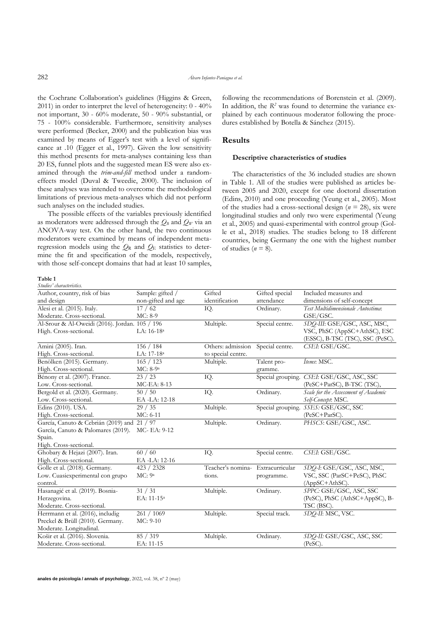the Cochrane Collaboration's guidelines (Higgins & Green, 2011) in order to interpret the level of heterogeneity: 0 - 40% not important, 30 - 60% moderate, 50 - 90% substantial, or 75 - 100% considerable. Furthermore, sensitivity analyses were performed (Becker, 2000) and the publication bias was examined by means of Egger's test with a level of significance at .10 (Egger et al., 1997). Given the low sensitivity this method presents for meta-analyses containing less than 20 ES, funnel plots and the suggested mean ES were also examined through the *trim-and-fill* method under a randomeffects model (Duval & Tweedie, 2000). The inclusion of these analyses was intended to overcome the methodological limitations of previous meta-analyses which did not perform such analyses on the included studies.

The possible effects of the variables previously identified as moderators were addressed through the  $Q_B$  and  $Q_W$  via an ANOVA-way test. On the other hand, the two continuous moderators were examined by means of independent metaregression models using the  $Q_R$  and  $Q_E$  statistics to determine the fit and specification of the models, respectively, with those self-concept domains that had at least 10 samples, following the recommendations of Borenstein et al. (2009). In addition, the  $R^2$  was found to determine the variance explained by each continuous moderator following the procedures established by Botella & Sánchez (2015).

#### **Results**

#### **Descriptive characteristics of studies**

The characteristics of the 36 included studies are shown in Table 1. All of the studies were published as articles between 2005 and 2020, except for one doctoral dissertation (Edins, 2010) and one proceeding (Yeung et al., 2005). Most of the studies had a cross-sectional design  $(n = 28)$ , six were longitudinal studies and only two were experimental (Yeung et al., 2005) and quasi-experimental with control group (Golle et al., 2018) studies. The studies belong to 18 different countries, being Germany the one with the highest number of studies  $(n = 8)$ .

#### **Table 1** *Studies' characteristics.*

| зиниез илигинентик.                            |                        |                    |                   |                                           |
|------------------------------------------------|------------------------|--------------------|-------------------|-------------------------------------------|
| Author, country, risk of bias                  | Sample: gifted /       | Gifted             | Gifted special    | Included measures and                     |
| and design                                     | non-gifted and age     | identification     | attendance        | dimensions of self-concept                |
| Alesi et al. (2015). Italy.                    | 17/62                  | IQ.                | Ordinary.         | Test Multidimensionale Autostima:         |
| Moderate. Cross-sectional.                     | $MC: 8-9$              |                    |                   | GSE/GSC.                                  |
| Al-Srour & Al-Oweidi (2016). Jordan. 105 / 196 |                        | Multiple.          | Special centre.   | SDQ-III: GSE/GSC, ASC, MSC,               |
| High. Cross-sectional.                         | LA: 16-18 <sup>a</sup> |                    |                   | VSC, PhSC (AppSC+AthSC), ESC              |
|                                                |                        |                    |                   | (ESSC), B-TSC (TSC), SSC (PeSC).          |
| Amini (2005). Iran.                            | 156 / 184              | Others: admission  | Special centre.   | CSEI: GSE/GSC.                            |
| High. Cross-sectional.                         | LA: 17-18 <sup>a</sup> | to special centre. |                   |                                           |
| Benölken (2015). Germany.                      | 165 / 123              | Multiple.          | Talent pro-       | <i>Items</i> : MSC.                       |
| High. Cross-sectional.                         | MC: 8-9 <sup>a</sup>   |                    | gramme.           |                                           |
| Bénony et al. (2007). France.                  | 23 / 23                | IQ.                |                   | Special grouping. CSEI: GSE/GSC, ASC, SSC |
| Low. Cross-sectional.                          | MC-EA: 8-13            |                    |                   | (PeSC+ParSC), B-TSC (TSC),                |
| Bergold et al. (2020). Germany.                | 50/50                  | IQ.                | Ordinary.         | Scale for the Assessment of Academic      |
| Low. Cross-sectional.                          | EA-LA: 12-18           |                    |                   | Self-Concept: MSC.                        |
| Edins (2010). USA.                             | 29/35                  | Multiple.          | Special grouping. | SSES: GSE/GSC, SSC                        |
| High. Cross-sectional.                         | MC: 6-11               |                    |                   | (PeSC+ParSC).                             |
| García, Canuto & Cebrián (2019) and            | 21/97                  | Multiple.          | Ordinary.         | PHSCS: GSE/GSC, ASC.                      |
| García, Canuto & Palomares (2019).             | MC- EA: 9-12           |                    |                   |                                           |
| Spain.                                         |                        |                    |                   |                                           |
| High. Cross-sectional.                         |                        |                    |                   |                                           |
| Ghobary & Hejazi (2007). Iran.                 | 60/60                  | IQ.                | Special centre.   | CSEI: GSE/GSC.                            |
| High. Cross-sectional.                         | EA-LA: 12-16           |                    |                   |                                           |
| Golle et al. (2018). Germany.                  | 423 / 2328             | Teacher's nomina-  | Extracurricular   | SDO-I: GSE/GSC, ASC, MSC,                 |
| Low. Cuasiexperimental con grupo               | MC: 9a                 | tions.             | programme.        | VSC, SSC (ParSC+PeSC), PhSC               |
| control.                                       |                        |                    |                   | (AppSC+AthSC).                            |
| Hasanagić et al. (2019). Bosnia-               | 31 / 31                | Multiple.          | Ordinary.         | SPPC: GSE/GSC, ASC, SSC                   |
| Herzegovina.                                   | EA: 11-15 <sup>a</sup> |                    |                   | (PeSC), PhSC (AthSC+AppSC), B-            |
| Moderate. Cross-sectional.                     |                        |                    |                   | TSC (BSC).                                |
| Herrmann et al. (2016), includig               | 261 / 1069             | Multiple.          | Special track.    | SDO-II: MSC, VSC.                         |
| Preckel & Brüll (2010). Germany.               | MC: 9-10               |                    |                   |                                           |
| Moderate. Longitudinal.                        |                        |                    |                   |                                           |
| Košir et al. (2016). Slovenia.                 | 85 / 319               | Multiple.          | Ordinary.         | SDQ-II: GSE/GSC, ASC, SSC                 |
| Moderate. Cross-sectional.                     | EA: 11-15              |                    |                   | $(PeSC)$ .                                |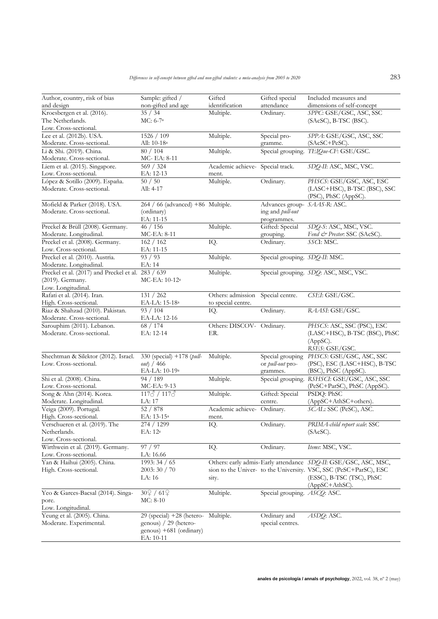| Author, country, risk of bias                            | Sample: gifted /                       | Gifted                                  | Gifted special                       | Included measures and                                             |
|----------------------------------------------------------|----------------------------------------|-----------------------------------------|--------------------------------------|-------------------------------------------------------------------|
| and design                                               | non-gifted and age                     | identification                          | attendance                           | dimensions of self-concept                                        |
| Kroesbergen et al. (2016).                               | 35 / 34                                | Multiple.                               | Ordinary.                            | SPPC: GSE/GSC, ASC, SSC                                           |
| The Netherlands.                                         | $MC: 6-7a$                             |                                         |                                      | (SAcSC), B-TSC (BSC).                                             |
| Low. Cross-sectional.                                    |                                        |                                         |                                      |                                                                   |
| Lee et al. (2012b). USA.                                 | 1526 / 109                             | Multiple.                               | Special pro-                         | SPPA: GSE/GSC, ASC, SSC                                           |
| Moderate. Cross-sectional.                               | All: 10-18 <sup>a</sup>                |                                         | gramme.                              | (SAcSC+PeSC).                                                     |
| Li & Shi. (2019). China.                                 | 80 / 104                               | Multiple.                               |                                      | Special grouping. TEIQue-CF: GSE/GSC.                             |
| Moderate. Cross-sectional.                               | MC- EA: 8-11                           |                                         |                                      |                                                                   |
| Liem et al. (2015). Singapore.                           | 569 / 324                              | Academic achieve- Special track.        |                                      | SDQ-II: ASC, MSC, VSC.                                            |
| Low. Cross-sectional.                                    | EA: 12-13                              | ment.                                   |                                      |                                                                   |
| López & Sotillo (2009). España.                          | 50/50                                  | Multiple.                               | Ordinary.                            | PHSCS: GSE/GSC, ASC, ESC                                          |
| Moderate. Cross-sectional.                               | All: 4-17                              |                                         |                                      | (LASC+HSC), B-TSC (BSC), SSC                                      |
|                                                          |                                        |                                         |                                      | (PSC), PhSC (AppSC).                                              |
| Mofield & Parker (2018). USA.                            | 264 / 66 (advanced) +86 Multiple.      |                                         | Advances group- SAAS-R: ASC.         |                                                                   |
| Moderate. Cross-sectional.                               | (ordinary)                             |                                         | ing and pull-out                     |                                                                   |
|                                                          | EA: 11-15                              |                                         | programmes.                          |                                                                   |
| Preckel & Brüll (2008). Germany.                         | 46 / 156                               | Multiple.                               | Gifted: Special                      | SDQ-S: ASC, MSC, VSC.                                             |
| Moderate. Longitudinal.                                  | MC-EA: 8-11<br>162 / 162               |                                         | grouping.                            | Fend & Prester: SSC (SAcSC).<br>SSCI: MSC.                        |
| Preckel et al. (2008). Germany.<br>Low. Cross-sectional. |                                        | IQ.                                     | Ordinary.                            |                                                                   |
| Preckel et al. (2010). Austria.                          | EA: 11-15<br>93 / 93                   | Multiple.                               | Special grouping. SDQ-II: MSC.       |                                                                   |
| Moderate. Longitudinal.                                  | EA: 14                                 |                                         |                                      |                                                                   |
| Preckel et al. (2017) and Preckel et al.                 |                                        |                                         |                                      |                                                                   |
|                                                          | 283 / 639                              | Multiple.                               |                                      | Special grouping. SDQ: ASC, MSC, VSC.                             |
| (2019). Germany.                                         | MC-EA: 10-12 <sup>a</sup>              |                                         |                                      |                                                                   |
| Low. Longitudinal.                                       |                                        |                                         | Special centre.                      | CSEI: GSE/GSC.                                                    |
| Rafati et al. (2014). Iran.<br>High. Cross-sectional.    | 131 / 262<br>EA-LA: 15-18 <sup>a</sup> | Others: admission<br>to special centre. |                                      |                                                                   |
| Riaz & Shahzad (2010). Pakistan.                         | 93 / 104                               |                                         | Ordinary.                            | RAASI: GSE/GSC.                                                   |
| Moderate. Cross-sectional.                               | EA-LA: 12-16                           | IQ.                                     |                                      |                                                                   |
| Sarouphim (2011). Lebanon.                               |                                        | Others: DISCOV- Ordinary.               |                                      | PHSCS: ASC, SSC (PSC), ESC                                        |
| Moderate. Cross-sectional.                               | 68 / 174<br>EA: 12-14                  | ER.                                     |                                      |                                                                   |
|                                                          |                                        |                                         |                                      | (LASC+HSC), B-TSC (BSC), PhSC<br>(AppSC).                         |
|                                                          |                                        |                                         |                                      | RSES: GSE/GSC.                                                    |
| Shechtman & Silektor (2012). Israel.                     | 330 (special) +178 (pull-              | Multiple.                               | Special grouping                     | PHSCS: GSE/GSC, ASC, SSC                                          |
| Low. Cross-sectional.                                    | out) / 466                             |                                         | or pull-out pro-                     | (PSC), ESC (LASC+HSC), B-TSC                                      |
|                                                          | EA-LA: 10-19 <sup>a</sup>              |                                         | grammes.                             | (BSC), PhSC (AppSC).                                              |
| Shi et al. (2008). China.                                | 94 / 189                               | Multiple.                               | Special grouping.                    | RSHSCI: GSE/GSC, ASC, SSC                                         |
| Low. Cross-sectional.                                    | MC-EA: 9-13                            |                                         |                                      | (PeSC+ParSC), PhSC (AppSC).                                       |
| Song & Ahn (2014). Korea.                                | $117\delta / 117\delta$                | Multiple.                               | Gifted: Special                      | PSDQ: PhSC                                                        |
| Moderate. Longitudinal.                                  | LA: 17                                 |                                         | centre.                              | (AppSC+AthSC+others).                                             |
| Veiga (2009). Portugal.                                  | 52 / 878                               | Academic achieve- Ordinary.             |                                      | SCAL: SSC (PeSC), ASC.                                            |
| High. Cross-sectional.                                   | EA: 13-15 <sup>a</sup>                 | ment.                                   |                                      |                                                                   |
| Verschueren et al. (2019). The                           | 274 / 1299                             | IQ.                                     | Ordinary.                            | PRIMA-child report scale: SSC                                     |
| Netherlands.                                             | EA: 12 <sup>a</sup>                    |                                         |                                      | (SAcSC).                                                          |
| Low. Cross-sectional.                                    |                                        |                                         |                                      |                                                                   |
| Wirthwein et al. (2019). Germany.                        | 97 / 97                                | IQ.                                     | Ordinary.                            | Items: MSC, VSC.                                                  |
| Low. Cross-sectional.                                    | LA: 16.66                              |                                         |                                      |                                                                   |
| Yan & Haihui (2005). China.                              | 1993: 34 / 65                          |                                         |                                      | Others: early admis-Early attendance SDQ-II: GSE/GSC, ASC, MSC,   |
| High. Cross-sectional.                                   | 2003:30 / 70                           |                                         |                                      | sion to the Univer- to the University. VSC, SSC (PeSC+ParSC), ESC |
|                                                          | LA: 16                                 | sity.                                   |                                      | (ESSC), B-TSC (TSC), PhSC                                         |
|                                                          |                                        |                                         |                                      | (AppSC+AthSC).                                                    |
| Yeo & Garces-Bacsal (2014). Singa-                       | 30 9 / 61 우                            | Multiple.                               | Special grouping. <i>ASCO</i> : ASC. |                                                                   |
| pore.                                                    | $MC: 8-10$                             |                                         |                                      |                                                                   |
| Low. Longitudinal.                                       |                                        |                                         |                                      |                                                                   |
| Yeung et al. (2005). China.                              | $29$ (special) $+28$ (hetero-          | Multiple.                               | Ordinary and                         | ASDQ: ASC.                                                        |
| Moderate. Experimental.                                  | genous) / 29 (hetero-                  |                                         | special centres.                     |                                                                   |
|                                                          | genous) +681 (ordinary)                |                                         |                                      |                                                                   |
|                                                          | EA: 10-11                              |                                         |                                      |                                                                   |
|                                                          |                                        |                                         |                                      |                                                                   |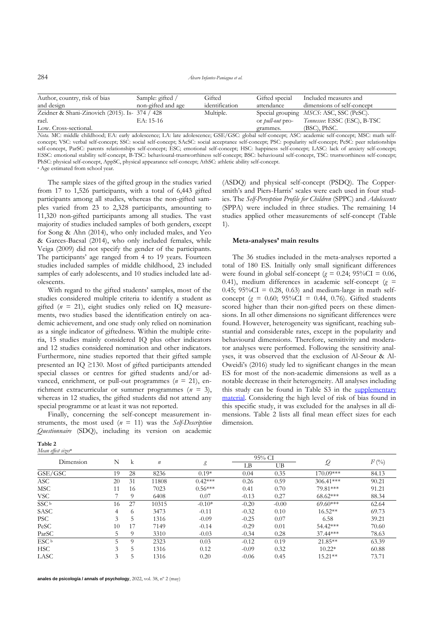284 *Álvaro Infantes-Paniagua et al.*

| Author, country, risk of bias                  | Sample: gifted /   | Gifted         | Gifted special          | Included measures and                           |
|------------------------------------------------|--------------------|----------------|-------------------------|-------------------------------------------------|
| and design                                     | non-gifted and age | identification | attendance              | dimensions of self-concept                      |
| Zeidner & Shani-Zinovich (2015). Is- 374 / 428 |                    | Multiple.      |                         | Special grouping <i>MSCS</i> : ASC, SSC (PeSC). |
| rael.                                          | EA: 15-16          |                | or <i>pull-out</i> pro- | Tennessee: ESSC (ESC), B-TSC                    |
| Low. Cross-sectional.                          |                    |                | grammes.                | $(BSC)$ , $PhSC$ .                              |

*Nota.* MC: middle childhood; EA: early adolescence; LA: late adolescence; GSE/GSC: global self-concept; ASC: academic self-concept; MSC: math selfconcept; VSC: verbal self-concept; SSC: social self-concept; SAcSC: social acceptance self-concept; PSC: popularity self-concept; PeSC: peer relationships self-concept, ParSC: parents relationships self-concept; ESC; emotional self-concept; HSC: happiness self-concept; LASC: lack of anxiety self-concept; ESSC: emotional stability self-concept, B-TSC: behavioural-trustworthiness self-concept; BSC: behavioural self-concept, TSC: trustworthiness self-concept; PhSC: physical self-concept, AppSC, physical appearance self-concept; AthSC: athletic ability self-concept. <sup>a</sup> Age estimated from school year.

The sample sizes of the gifted group in the studies varied from 17 to 1,526 participants, with a total of 6,443 gifted participants among all studies, whereas the non-gifted samples varied from 23 to 2,328 participants, amounting to 11,320 non-gifted participants among all studies. The vast majority of studies included samples of both genders, except for Song & Ahn (2014), who only included males, and Yeo & Garces-Bacsal (2014), who only included females, while Veiga (2009) did not specify the gender of the participants. The participants' age ranged from 4 to 19 years. Fourteen studies included samples of middle childhood, 23 included samples of early adolescents, and 10 studies included late adolescents.

With regard to the gifted students' samples, most of the studies considered multiple criteria to identify a student as gifted (*n* = 21), eight studies only relied on IQ measurements, two studies based the identification entirely on academic achievement, and one study only relied on nomination as a single indicator of giftedness. Within the multiple criteria, 15 studies mainly considered IQ plus other indicators and 12 studies considered nomination and other indicators. Furthermore, nine studies reported that their gifted sample presented an IQ ≥130. Most of gifted participants attended special classes or centres for gifted students and/or advanced, enrichment, or pull-out programmes (*n* = 21), enrichment extracurricular or summer programmes (*n* = 3), whereas in 12 studies, the gifted students did not attend any special programme or at least it was not reported.

Finally, concerning the self-concept measurement instruments, the most used (*n* = 11) was the *Self-Description Questionnaire* (SDQ), including its version on academic

| anle |  |
|------|--|
|------|--|

| Mean effeci |  |  |
|-------------|--|--|
|-------------|--|--|

*Mean effect sizes***<sup>a</sup>**

(ASDQ) and physical self-concept (PSDQ). The Coppersmith's and Piers-Harris' scales were each used in four studies. The *Self-Perception Profile for Children* (SPPC) and *Adolescents*  (SPPA) were included in three studies. The remaining 14 studies applied other measurements of self-concept (Table 1).

#### **Meta-analyses' main results**

The 36 studies included in the meta-analyses reported a total of 180 ES. Initially only small significant differences were found in global self-concept ( $g = 0.24$ ; 95%CI = 0.06, 0.41), medium differences in academic self-concept  $(g =$ 0.45;  $95\%CI = 0.28$ , 0.63) and medium-large in math selfconcept ( $g = 0.60$ ;  $95\%CI = 0.44$ , 0.76). Gifted students scored higher than their non-gifted peers on these dimensions. In all other dimensions no significant differences were found. However, heterogeneity was significant, reaching substantial and considerable rates, except in the popularity and behavioural dimensions. Therefore, sensitivity and moderator analyses were performed. Following the sensitivity analyses, it was observed that the exclusion of Al-Srour & Al-Oweidi's (2016) study led to significant changes in the mean ES for most of the non-academic dimensions as well as a notable decrease in their heterogeneity. All analyses including this study can be found in Table S3 in the supplementary [material.](https://revistas.um.es/analesps/$$$call$$$/api/file/file-api/download-library-file?libraryFileId=9131&submissionId=461971) Considering the high level of risk of bias found in this specific study, it was excluded for the analyses in all dimensions. Table 2 lists all final mean effect sizes for each dimension.

| Dimension        | N  |          |                  |           |         | 95% CI  |               | $I^2$ (%) |  |
|------------------|----|----------|------------------|-----------|---------|---------|---------------|-----------|--|
|                  |    | k        | $\boldsymbol{n}$ | g         | LΒ      | UB      | $\mathcal{Q}$ |           |  |
| GSE/GSC          | 19 | 28       | 8236             | $0.19*$   | 0.04    | 0.35    | 170.09***     | 84.13     |  |
| <b>ASC</b>       | 20 | 31       | 11808            | $0.42***$ | 0.26    | 0.59    | $306.41***$   | 90.21     |  |
| <b>MSC</b>       | 11 | 16       | 7023             | $0.56***$ | 0.41    | 0.70    | 79.81***      | 91.21     |  |
| VSC              |    | $\Omega$ | 6408             | 0.07      | $-0.13$ | 0.27    | $68.62***$    | 88.34     |  |
| SSC <sup>b</sup> | 16 | 27       | 10315            | $-0.10*$  | $-0.20$ | $-0.00$ | $69.60***$    | 62.64     |  |
| SASC             | 4  | 6        | 3473             | $-0.11$   | $-0.32$ | 0.10    | $16.52**$     | 69.73     |  |
| <b>PSC</b>       | 3  |          | 1316             | $-0.09$   | $-0.25$ | 0.07    | 6.58          | 39.21     |  |
| PeSC             | 10 | 17       | 7149             | $-0.14$   | $-0.29$ | 0.01    | 54.42***      | 70.60     |  |
| ParSC            | 5  | $\Omega$ | 3310             | $-0.03$   | $-0.34$ | 0.28    | 37.44***      | 78.63     |  |
| ESC <sup>b</sup> | 5  |          | 2323             | 0.03      | $-0.12$ | 0.19    | 21.85**       | 63.39     |  |
| <b>HSC</b>       | 3  | 5        | 1316             | 0.12      | $-0.09$ | 0.32    | $10.22*$      | 60.88     |  |
| LASC             | 3  | 5        | 1316             | 0.20      | $-0.06$ | 0.45    | 15.21**       | 73.71     |  |

**anales de psicología / annals of psychology**, 2022, vol. 38, nº 2 (may)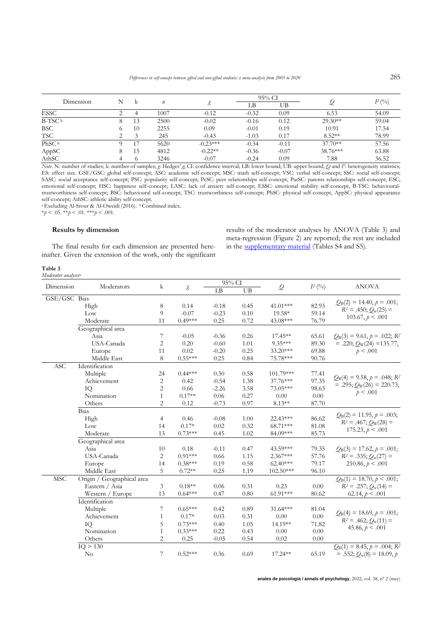| Dimension         | N |    |                  |            | 95% CI  |         |           |             |
|-------------------|---|----|------------------|------------|---------|---------|-----------|-------------|
|                   |   | k  | $\boldsymbol{n}$ |            | LΒ      | UΒ      |           | $I^{2}$ (%) |
| <b>ESSC</b>       |   |    | 1007             | $-0.12$    | $-0.32$ | 0.09    | 6.53      | 54.09       |
| $B-TSCb$          |   | 13 | 2500             | $-0.02$    | $-0.16$ | 0.12    | $29.30**$ | 59.04       |
| <b>BSC</b>        |   | 10 | 2255             | 0.09       | $-0.01$ | 0.19    | 10.91     | 17.54       |
| TSC               |   | 2  | 245              | $-0.43$    | $-1.03$ | 0.17    | $8.52**$  | 78.99       |
| PhSC <sup>b</sup> |   |    | 5620             | $-0.23***$ | $-0.34$ | $-0.11$ | $37.70**$ | 57.56       |
| AppSC             |   | 15 | 4812             | $-0.22**$  | $-0.36$ | $-0.07$ | 38.76***  | 63.88       |
| AthSC             | 4 |    | 3246             | $-0.07$    | $-0.24$ | 0.09    | 7.88      | 36.52       |

*Note*. N: number of studies; k: number of samples; *g*: Hedges' *g*; CI: confidence interval; LB: lower bound; UB: upper bound; *Q* and *I 2* : heterogeneity statistics; ES: effect size. GSE/GSC: global self-concept; ASC: academic self-concept; MSC: math self-concept; VSC: verbal self-concept; SSC: social self-concept; SASC: social acceptance self-concept; PSC: popularity self-concept; PeSC: peer relationships self-concept, ParSC: parents relationships self-concept; ESC; emotional self-concept; HSC: happiness self-concept; LASC: lack of anxiety self-concept; ESSC: emotional stability self-concept, B-TSC: behaviouraltrustworthiness self-concept; BSC: behavioural self-concept, TSC: trustworthiness self-concept; PhSC: physical self-concept, AppSC: physical appearance self-concept; AthSC: athletic ability self-concept.

<sup>a</sup> Excluding Al-Srour & Al-Oweidi (2016). <sup>b</sup> Combined index.

 $*_{p}$  < .05.  $*_{p}$  < .01.  $*_{p}$  < .001.

#### **Results by dimension**

The final results for each dimension are presented hereinafter. Given the extension of the work, only the significant results of the moderator analyses by ANOVA (Table 3) and meta-regression (Figure 2) are reported; the rest are included in the [supplementary material](https://revistas.um.es/analesps/$$$call$$$/api/file/file-api/download-library-file?libraryFileId=9131&submissionId=461971) (Tables S4 and S5).

#### **Table 3** *Moderator analyses*a.

|              |                            |                |           | 95% CI  |      |               |           |                                                        |
|--------------|----------------------------|----------------|-----------|---------|------|---------------|-----------|--------------------------------------------------------|
| Dimension    | Moderators                 | k              | g         | LB      | UB   | $\mathcal{Q}$ | $I^2$ (%) | <b>ANOVA</b>                                           |
| GSE/GSC Bias |                            |                |           |         |      |               |           |                                                        |
|              | High                       | 8              | 0.14      | $-0.18$ | 0.45 | 41.01***      | 82.93     | $Q_B(2) = 14.40, p = .001;$<br>$R^2 = .450; Q_w(25) =$ |
|              | Low                        | 9              | $-0.07$   | $-0.23$ | 0.10 | 19.58*        | 59.14     | $103.67, p \le .001$                                   |
|              | Moderate                   | 11             | $0.49***$ | 0.25    | 0.72 | 43.08***      | 76.79     |                                                        |
|              | Geographical area          |                |           |         |      |               |           |                                                        |
|              | Asia                       | 7              | $-0.05$   | $-0.36$ | 0.26 | $17.45**$     | 65.61     | $Q_{\rm B}(3) = 9.61, p = .022; R^2$                   |
|              | USA-Canada                 | $\overline{2}$ | 0.20      | $-0.60$ | 1.01 | $9.35***$     | 89.30     | $= .220; Q_W(24) = 135.77,$                            |
|              | Europe                     | 11             | $0.02\,$  | $-0.20$ | 0.25 | 33.20***      | 69.88     | p < .001                                               |
|              | Middle East                | 8              | $0.55***$ | 0.25    | 0.84 | 75.78***      | 90.76     |                                                        |
| <b>ASC</b>   | Identification             |                |           |         |      |               |           |                                                        |
|              | Multiple                   | 24             | $0.44***$ | 0.30    | 0.58 | 101.79***     | 77.41     | $Q_{\rm B}(4) = 9.58, p = .048; R^2$                   |
|              | Achievement                | 2              | 0.42      | $-0.54$ | 1.38 | 37.76***      | 97.35     | $= .295; Q_W(26) = 220.73,$                            |
|              | IQ                         | 2              | 0.66      | $-2.26$ | 3.58 | 73.05***      | 98.63     | p < .001                                               |
|              | Nomination                 | 1              | $0.17**$  | 0.06    | 0.27 | 0.00          | 0.00      |                                                        |
|              | Others                     | 2              | 0.12      | $-0.73$ | 0.97 | $8.13**$      | 87.70     |                                                        |
|              | $\overline{\text{Bias}}$   |                |           |         |      |               |           | $Q_B(2) = 11.95$ , $p = .003$ ;                        |
|              | High                       | $\overline{4}$ | 0.46      | $-0.08$ | 1.00 | 22.43***      | 86.62     | $R^2 = .467; Q_W(28) =$                                |
|              | Low                        | 14             | $0.17*$   | 0.02    | 0.32 | 68.71***      | 81.08     | $175.23, p \leq .001$                                  |
|              | Moderate                   | 13             | $0.73***$ | 0.45    | 1.02 | 84.09***      | 85.73     |                                                        |
|              | Geographical area          |                |           |         |      |               |           |                                                        |
|              | Asia                       | 10             | 0.18      | $-0.11$ | 0.47 | 43.59***      | 79.35     | $Q_B(3) = 17.62, p = .001;$                            |
|              | USA-Canada                 | $\overline{2}$ | $0.91***$ | 0.66    | 1.15 | $2.367***$    | 57.76     | $R^2 = .335; Q_w(27) =$                                |
|              | Europe                     | 14             | $0.38***$ | 0.19    | 0.58 | $62.40***$    | 79.17     | $210.86, p \leq .001$                                  |
|              | Middle East                | 5              | $0.72**$  | 0.25    | 1.19 | 102.50***     | 96.10     |                                                        |
| <b>MSC</b>   | Origin / Geographical area |                |           |         |      |               |           | $Q_{\rm B}(1) = 18.70, p \le .001;$                    |
|              | Eastern / Asia             | 3              | $0.18**$  | 0.06    | 0.31 | 0.23          | 0.00      | $R^2 = .257; Q_w(14) =$                                |
|              | Western / Europe           | 13             | $0.64***$ | 0.47    | 0.80 | $61.91***$    | 80.62     | 62.14, $p < .001$                                      |
|              | Identification             |                |           |         |      |               |           |                                                        |
|              | Multiple                   | 7              | $0.65***$ | 0.42    | 0.89 | $31.64***$    | 81.04     | $Q_B(4) = 18.69, p = .001;$                            |
|              | Achievement                | $\mathbf{1}$   | $0.17*$   | 0.03    | 0.31 | 0.00          | 0.00      | $R^2 = .462; Q_w(11) =$                                |
|              | IQ                         | 5              | $0.73***$ | 0.40    | 1.05 | 14.19**       | 71.82     | 45.86, $p < .001$                                      |
|              | Nomination                 | $\mathbf{1}$   | $0.33***$ | 0.22    | 0.43 | 0.00          | 0.00      |                                                        |
|              | Others                     | $\overline{c}$ | 0.25      | $-0.05$ | 0.54 | 0.02          | 0.00      |                                                        |
|              | IQ > 130                   |                |           |         |      |               |           | $Q_{\rm B}(1) = 8.45, p = .004; R^2$                   |
|              | No                         | 7              | $0.52***$ | 0.36    | 0.69 | $17.24**$     | 65.19     | $= .552; Q_w(8) = 18.09, p$                            |
|              |                            |                |           |         |      |               |           |                                                        |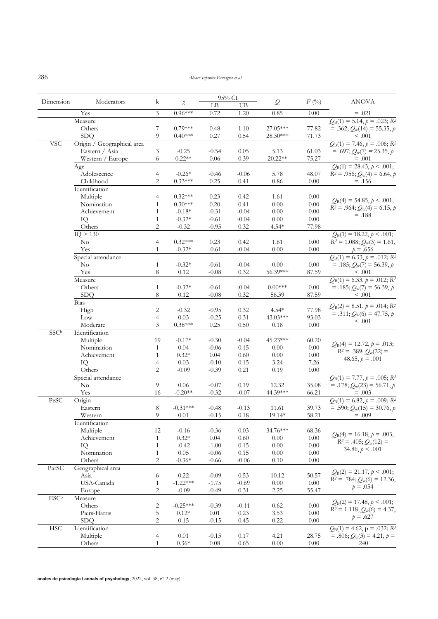286 *Álvaro Infantes-Paniagua et al.*

|                         |                            |                |                     | 95% CI   |         |               |           |                                                  |
|-------------------------|----------------------------|----------------|---------------------|----------|---------|---------------|-----------|--------------------------------------------------|
| Dimension               | Moderators                 | k              | $\mathcal{E}% _{0}$ | LB       | UB      | $\mathcal{Q}$ | $I^2$ (%) | <b>ANOVA</b>                                     |
|                         | Yes                        | 3              | $0.96***$           | 0.72     | 1.20    | 0.85          | 0.00      | $=.021$                                          |
|                         | Measure                    |                |                     |          |         |               |           | $Q_{\rm B}(1) = 5.14, p = .023; R^2$             |
|                         | Others                     | 7              | $0.79***$           | 0.48     | 1.10    | 27.05***      | 77.82     | $= .362; Q_w(14) = 55.35, p$                     |
|                         | <b>SDQ</b>                 | 9              | $0.40***$           | 0.27     | 0.54    | 28.30***      | 71.73     | $\leq .001$                                      |
| <b>VSC</b>              | Origin / Geographical area |                |                     |          |         |               |           | $Q_{\rm B}(1) = 7.46, p = .006; R^2$             |
|                         | Eastern / Asia             | 3              | $-0.25$             | $-0.54$  | 0.05    | 5.13          | 61.03     | $= .697; Q_w(7) = 25.35, p$                      |
|                         | Western / Europe           | 6              | $0.22**$            | 0.06     | 0.39    | 20.22**       | 75.27     | $=.001$                                          |
|                         | Age                        |                |                     |          |         |               |           | $Q_{\rm B}(1) = 28.43, p \leq .001;$             |
|                         | Adolescence                | 4              | $-0.26*$            | $-0.46$  | $-0.06$ | 5.78          | 48.07     | $R^2 = .956$ ; $Q_w(4) = 6.64$ , p               |
|                         | Childhood                  | $\overline{c}$ | $0.33***$           | 0.25     | 0.41    | 0.86          | 0.00      | $=.156$                                          |
|                         | Identification             |                |                     |          |         |               |           |                                                  |
|                         | Multiple                   | $\overline{4}$ | $0.32***$           | 0.23     | 0.42    | 1.61          | 0.00      |                                                  |
|                         | Nomination                 | 1              | $0.30***$           | 0.20     | 0.41    | $0.00\,$      | 0.00      | $Q_{\rm B}(4) = 54.85, p \le .001;$              |
|                         | Achievement                | 1              | $-0.18*$            | $-0.31$  | $-0.04$ | $0.00\,$      | $0.00\,$  | $R^2 = .964$ ; $Q_w(4) = 6.15$ , p               |
|                         | IQ                         | 1              | $-0.32*$            | $-0.61$  | $-0.04$ | $0.00\,$      | $0.00\,$  | $=.188$                                          |
|                         | Others                     | $\overline{c}$ | $-0.32$             | $-0.95$  | 0.32    | $4.54*$       | 77.98     |                                                  |
|                         | IQ > 130                   |                |                     |          |         |               |           | $Q_B(1) = 18.22, p \le .001;$                    |
|                         | N <sub>o</sub>             | 4              | $0.32***$           | 0.23     | 0.42    | 1.61          | $0.00\,$  | $R^2 = 1.088$ ; $Q_w(3) = 1.61$ ,                |
|                         | Yes                        | 1              | $-0.32*$            | $-0.61$  | $-0.04$ | 0.00          | 0.00      | $p = .656$                                       |
|                         | Special attendance         |                |                     |          |         |               |           | $Q_{B}(1) = 6.33, p = .012; R^2$                 |
|                         | No                         | $\mathbf{1}$   | $-0.32*$            | $-0.61$  | $-0.04$ | 0.00          | 0.00      | $= .185; Q_w(7) = 56.39, p$                      |
|                         | Yes                        | 8              | 0.12                | $-0.08$  | 0.32    | 56.39***      | 87.59     | < .001                                           |
|                         | Measure                    |                |                     |          |         |               |           | $Q_{\rm B}(1) = 6.33$ , $p = .012$ ; $R^2$       |
|                         | Others                     | $\mathbf{1}$   | $-0.32*$            | $-0.61$  | $-0.04$ | $0.00***$     | $0.00\,$  | $= .185; Q_w(7) = 56.39, p$                      |
|                         | <b>SDQ</b>                 | 8              | 0.12                | $-0.08$  | 0.32    | 56.39         | 87.59     | $\leq 0.001$                                     |
|                         | <b>Bias</b>                |                |                     |          |         |               |           |                                                  |
|                         |                            |                |                     |          |         |               |           | $Q_{\rm B}(2) = 8.51, p = .014; R^2$             |
|                         | High                       | 2              | $-0.32$             | $-0.95$  | 0.32    | $4.54*$       | 77.98     | $= .311; Q_w(6) = 47.75, p$                      |
|                         | Low                        | $\overline{4}$ | 0.03                | $-0.25$  | 0.31    | 43.03***      | 93.03     | < .001                                           |
|                         | Moderate                   | 3              | $0.38***$           | 0.25     | 0.50    | 0.18          | $0.00\,$  |                                                  |
| <b>SSCb</b>             | Identification             |                |                     |          |         |               |           |                                                  |
|                         | Multiple                   | 19             | $-0.17*$            | $-0.30$  | $-0.04$ | 45.23***      | 60.20     | $Q_B(4) = 12.72, p = .013;$                      |
|                         | Nomination                 | 1              | 0.04                | $-0.06$  | 0.15    | 0.00          | $0.00\,$  | $R^2 = .389; Q_w(22) =$                          |
|                         | Achievement                | $\mathbf{1}$   | $0.32*$             | 0.04     | 0.60    | $0.00\,$      | $0.00\,$  | 48.65, $p = .001$                                |
|                         | IQ                         | 4              | 0.03                | $-0.10$  | 0.15    | 3.24          | 7.26      |                                                  |
|                         | Others                     | $\overline{2}$ | $-0.09$             | $-0.39$  | 0.21    | 0.19          | 0.00      |                                                  |
|                         | Special attendance         |                |                     |          |         |               |           | $Q_B(1) = 7.77, p = .005; R^2$                   |
|                         | N <sub>o</sub>             | 9              | 0.06                | $-0.07$  | 0.19    | 12.32         | 35.08     | $= .178; Q_w(23) = 56.71, p$                     |
|                         | Yes                        | 16             | $-0.20**$           | $-0.32$  | $-0.07$ | 44.39***      | 66.21     | $=.003$                                          |
| PeSC                    | Origin                     |                |                     |          |         |               |           | $Q_{\rm B}(1) = 6.82, p = .009; R^2$             |
|                         | Eastern                    | 8              | $-0.31***$          | $-0.48$  | $-0.13$ | 11.61         | 39.73     | $= .590; Q_w(15) = 30.76, p$                     |
|                         | Western                    | 9              | 0.01                | $-0.15$  | 0.18    | 19.14*        | 58.21     | $=.009$                                          |
|                         | Identification             |                |                     |          |         |               |           |                                                  |
|                         | Multiple                   | 12             | $-0.16$             | $-0.36$  | 0.03    | 34.76***      | 68.36     | $Q_B(4) = 16.18, p = .003;$                      |
|                         | Achievement                | 1              | $0.32*$             | 0.04     | 0.60    | 0.00          | 0.00      | $R^2 = .405; Q_w(12) =$                          |
|                         | IQ                         | $\mathbf{1}$   | $-0.42$             | $-1.00$  | 0.15    | $0.00\,$      | $0.00\,$  | $34.86, p \leq .001$                             |
|                         | Nomination                 | $\mathbf{1}$   | 0.05                | $-0.06$  | 0.15    | $0.00\,$      | 0.00      |                                                  |
|                         | Others                     | $\overline{c}$ | $-0.36*$            | $-0.66$  | $-0.06$ | 0.10          | 0.00      |                                                  |
| ParSC                   | Geographical area          |                |                     |          |         |               |           | $Q_B(2) = 21.17, p < .001;$                      |
|                         | Asia                       | 6              | 0.22                | $-0.09$  | 0.53    | 10.12         | 50.57     | $R^2 = .784$ ; $Q_w(6) = 12.36$ ,                |
|                         | USA-Canada                 | $\mathbf{1}$   | $-1.22***$          | $-1.75$  | $-0.69$ | $0.00\,$      | 0.00      | $p = .054$                                       |
|                         | Europe                     | 2              | $-0.09$             | $-0.49$  | 0.31    | 2.25          | 55.47     |                                                  |
| <b>ESC</b> <sup>b</sup> | Measure                    |                |                     |          |         |               |           | $Q_B(2) = 17.48, p < .001;$                      |
|                         | Others                     | 2              | $-0.25***$          | $-0.39$  | $-0.11$ | 0.62          | $0.00\,$  | $R^2 = 1.118$ ; $Q_w(6) = 4.37$ ,                |
|                         | Piers-Harris               | 5              | $0.12*$             | 0.01     | 0.23    | 3.53          | 0.00      |                                                  |
|                         | <b>SDQ</b>                 | $\overline{2}$ | 0.15                | $-0.15$  | 0.45    | 0.22          | 0.00      | $p = .627$                                       |
| <b>HSC</b>              | Identification             |                |                     |          |         |               |           | $Q_{\rm B}(1) = 4.62$ , p = .032; R <sup>2</sup> |
|                         | Multiple                   | $\overline{4}$ | 0.01                | $-0.15$  | 0.17    | 4.21          | 28.75     | $= .806; Q_w(3) = 4.21, p =$                     |
|                         | Others                     | $\mathbf{1}$   | $0.36*$             | $0.08\,$ | 0.65    | 0.00          | 0.00      | .240                                             |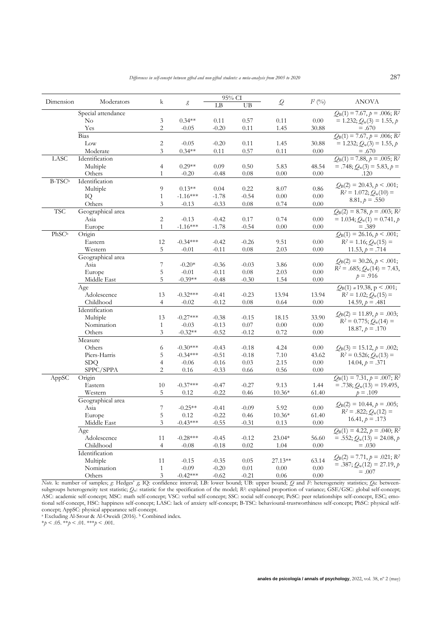|                    |                    |                |            | 95% CI                 |          |              |           |                                                              |
|--------------------|--------------------|----------------|------------|------------------------|----------|--------------|-----------|--------------------------------------------------------------|
| Dimension          | Moderators         | k              | g          | $\mathbf{L}\mathbf{B}$ | UB       | $\mathcal Q$ | $I^2$ (%) | <b>ANOVA</b>                                                 |
|                    | Special attendance |                |            |                        |          |              |           | $Q_B(1) = 7.67$ , $p = .006$ ; R <sup>2</sup>                |
|                    | No                 | 3              | $0.34**$   | 0.11                   | 0.57     | 0.11         | 0.00      | $= 1.232; Q_w(3) = 1.55, p$                                  |
|                    | Yes                | $\overline{2}$ | $-0.05$    | $-0.20$                | 0.11     | 1.45         | 30.88     | $=.670$                                                      |
|                    | Bias               |                |            |                        |          |              |           | $Q_{\rm B}(1) = 7.67, p = .006; R^2$                         |
|                    | Low                | $\sqrt{2}$     | $-0.05$    | $-0.20$                | 0.11     | 1.45         | 30.88     | $= 1.232; Q_w(3) = 1.55, p$                                  |
|                    | Moderate           | 3              | $0.34**$   | 0.11                   | 0.57     | 0.11         | 0.00      | $=.670$                                                      |
| LASC               | Identification     |                |            |                        |          |              |           | $Q_{\rm B}(1) = 7.88, p = .005; R^2$                         |
|                    | Multiple           | $\overline{4}$ | $0.29**$   | 0.09                   | 0.50     | 5.83         | 48.54     | $= .748; Q_w(3) = 5.83, p =$                                 |
|                    | Others             | $\mathbf{1}$   | $-0.20$    | $-0.48$                | 0.08     | 0.00         | 0.00      | .120                                                         |
| B-TSC <sup>b</sup> | Identification     |                |            |                        |          |              |           |                                                              |
|                    | Multiple           | 9              | $0.13**$   | 0.04                   | 0.22     | 8.07         | 0.86      | $Q_B(2) = 20.43, p \leq .001;$                               |
|                    | IQ                 | $\mathbf{1}$   | $-1.16***$ | $-1.78$                | $-0.54$  | $0.00\,$     | 0.00      | $R^2 = 1.072$ ; $Q_w(10) =$                                  |
|                    | Others             | 3              | $-0.13$    | $-0.33$                | 0.08     | 0.74         | 0.00      | $8.81, p = .550$                                             |
| <b>TSC</b>         | Geographical area  |                |            |                        |          |              |           | $Q_{\rm B}(2) = 8.78, p = .003; R^2$                         |
|                    | Asia               | $\overline{2}$ | $-0.13$    | $-0.42$                | 0.17     | 0.74         | 0.00      | $= 1.034; Q_w(1) = 0.741, p$                                 |
|                    | Europe             | $\mathbf{1}$   | $-1.16***$ | $-1.78$                | $-0.54$  | 0.00         | 0.00      | $=.389$                                                      |
| PhSCb              | Origin             |                |            |                        |          |              |           | $Q_{\rm B}(1) = 26.16, p \le .001;$                          |
|                    | Eastern            | 12             | $-0.34***$ | $-0.42$                | $-0.26$  | 9.51         | 0.00      | $R^2 = 1.16$ ; $Q_w(15) =$                                   |
|                    | Western            | 5              | $-0.01$    | $-0.11$                | 0.08     | 2.03         | 0.00      | 11.53, $p = .714$                                            |
|                    | Geographical area  |                |            |                        |          |              |           |                                                              |
|                    | Asia               | 7              | $-0.20*$   | $-0.36$                | $-0.03$  | 3.86         | 0.00      | $Q_B(2) = 30.26, p \le .001;$                                |
|                    | Europe             | 5              | $-0.01$    | $-0.11$                | $0.08\,$ | 2.03         | 0.00      | $R^2 = .685$ ; $Q_w(14) = 7.43$ ,                            |
|                    | Middle East        | 5              | $-0.39**$  | $-0.48$                | $-0.30$  | 1.54         | 0.00      | $p = .916$                                                   |
|                    | Age                |                |            |                        |          |              |           | $Q_B(1) = 19.38$ , p < .001;                                 |
|                    | Adolescence        | 13             | $-0.32***$ | $-0.41$                | $-0.23$  | 13.94        | 13.94     | $R^2 = 1.02$ ; $Q_w(15) =$                                   |
|                    | Childhood          | $\overline{4}$ | $-0.02$    | $-0.12$                | $0.08\,$ | 0.64         | 0.00      | 14.59, $p = .481$                                            |
|                    | Identification     |                |            |                        |          |              |           |                                                              |
|                    | Multiple           | 13             | $-0.27***$ | $-0.38$                | $-0.15$  | 18.15        | 33.90     | $Q_B(2) = 11.89, p = .003;$                                  |
|                    | Nomination         | $\mathbf{1}$   | $-0.03$    | $-0.13$                | 0.07     | $0.00\,$     | 0.00      | $R^2 = 0.775$ ; $Q_w(14) =$                                  |
|                    | Others             | 3              | $-0.32**$  | $-0.52$                | $-0.12$  | 0.72         | 0.00      | $18.87, p = .170$                                            |
|                    | Measure            |                |            |                        |          |              |           |                                                              |
|                    | Others             | 6              | $-0.30***$ | $-0.43$                | $-0.18$  | 4.24         | 0.00      | $Q_B(3) = 15.12, p = .002;$                                  |
|                    | Piers-Harris       | 5              | $-0.34***$ | $-0.51$                | $-0.18$  | $7.10\,$     | 43.62     | $R^2 = 0.526$ ; $Q_w(13) =$                                  |
|                    | <b>SDQ</b>         | 4              | $-0.06$    | $-0.16$                | 0.03     | 2.15         | 0.00      | 14.04, $p = .371$                                            |
|                    | SPPC/SPPA          | $\overline{2}$ | 0.16       | $-0.33$                | 0.66     | 0.56         | 0.00      |                                                              |
| AppSC              | Origin             |                |            |                        |          |              |           | $Q_{\rm B}(1) = 7.31, p = .007; R^2$                         |
|                    | Eastern            | 10             | $-0.37***$ | $-0.47$                | $-0.27$  | 9.13         | 1.44      | $= .738; Q_w(13) = 19.495,$                                  |
|                    | Western            | 5              | 0.12       | $-0.22$                | 0.46     | $10.36*$     | 61.40     | $p = .109$                                                   |
|                    | Geographical area  |                |            |                        |          |              |           |                                                              |
|                    | Asia               | 7              | $-0.25**$  | $-0.41$                | $-0.09$  | 5.92         | $0.00\,$  | $Q_{\rm B}(2) = 10.44, p = .005;$<br>$R^2 = .822; Q_w(12) =$ |
|                    | Europe             | 5              | 0.12       | $-0.22$                | 0.46     | $10.36*$     | 61.40     | $16.41, p = .173$                                            |
|                    | Middle East        | 3              | $-0.43***$ | $-0.55$                | $-0.31$  | 0.13         | $0.00\,$  |                                                              |
|                    | Age                |                |            |                        |          |              |           | $Q_B(1) = 4.22, p = .040; R^2$                               |
|                    | Adolescence        | 11             | $-0.28***$ | $-0.45$                | $-0.12$  | $23.04*$     | 56.60     | $= .552; Q_w(13) = 24.08, p$                                 |
|                    | Childhood          | $\overline{4}$ | $-0.08$    | $-0.18$                | $0.02\,$ | 1.04         | 0.00      | $=.030$                                                      |
|                    | Identification     |                |            |                        |          |              |           |                                                              |
|                    | Multiple           | 11             | $-0.15$    | $-0.35$                | 0.05     | 27.13**      | 63.14     | $Q_B(2) = 7.71, p = .021; R^2$                               |
|                    | Nomination         | $\mathbf{1}$   | $-0.09$    | $-0.20$                | 0.01     | $0.00\,$     | $0.00\,$  | $= .387; Q_w(12) = 27.19, p$<br>$=.007$                      |
|                    | Others             | $\mathfrak z$  | $-0.42***$ | $-0.62$                | $-0.21$  | $0.06\,$     | 0.00      |                                                              |

*Note*. k: number of samples; *g*: Hedges' *g*; *IQ*: confidence interval; LB: lower bound; UB: upper bound; *Q* and *F*: heterogeneity statistics; *QB*: betweensubgroups heterogeneity test statistic;  $Q_w$ : statistic for the specification of the model;  $R^2$ : explained proportion of variance; GSE/GSC: global self-concept; ASC: academic self-concept; MSC: math self-concept; VSC: verbal self-concept; SSC: social self-concept; PeSC: peer relationships self-concept, ESC; emotional self-concept, HSC: happiness self-concept; LASC: lack of anxiety self-concept; B-TSC: behavioural-trustworthiness self-concept; PhSC: physical selfconcept; AppSC: physical appearance self-concept.

<sup>a</sup> Excluding Al-Srour & Al-Oweidi (2016). <sup>b</sup> Combined index.

\**p* < .05. \*\**p* < .01. \*\*\**p* < .001.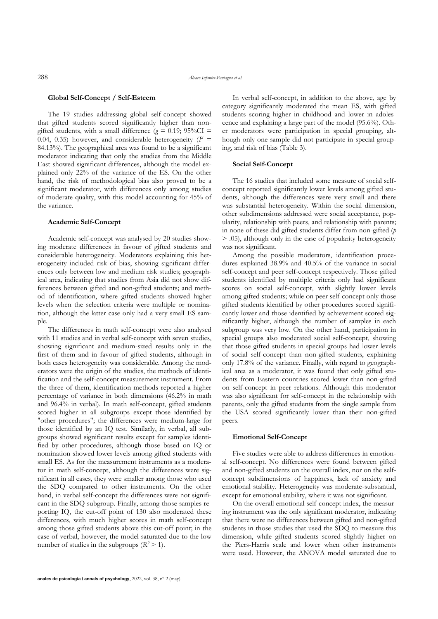#### **Global Self-Concept / Self-Esteem**

The 19 studies addressing global self-concept showed that gifted students scored significantly higher than nongifted students, with a small difference ( $g = 0.19$ ; 95%CI = 0.04, 0.35) however, and considerable heterogeneity  $(I^2 =$ 84.13%). The geographical area was found to be a significant moderator indicating that only the studies from the Middle East showed significant differences, although the model explained only 22% of the variance of the ES. On the other hand, the risk of methodological bias also proved to be a significant moderator, with differences only among studies of moderate quality, with this model accounting for 45% of the variance.

#### **Academic Self-Concept**

Academic self-concept was analysed by 20 studies showing moderate differences in favour of gifted students and considerable heterogeneity. Moderators explaining this heterogeneity included risk of bias, showing significant differences only between low and medium risk studies; geographical area, indicating that studies from Asia did not show differences between gifted and non-gifted students; and method of identification, where gifted students showed higher levels when the selection criteria were multiple or nomination, although the latter case only had a very small ES sample.

The differences in math self-concept were also analysed with 11 studies and in verbal self-concept with seven studies, showing significant and medium-sized results only in the first of them and in favour of gifted students, although in both cases heterogeneity was considerable. Among the moderators were the origin of the studies, the methods of identification and the self-concept measurement instrument. From the three of them, identification methods reported a higher percentage of variance in both dimensions (46.2% in math and 96.4% in verbal). In math self-concept, gifted students scored higher in all subgroups except those identified by "other procedures"; the differences were medium-large for those identified by an IQ test. Similarly, in verbal, all subgroups showed significant results except for samples identified by other procedures, although those based on IQ or nomination showed lower levels among gifted students with small ES. As for the measurement instruments as a moderator in math self-concept, although the differences were significant in all cases, they were smaller among those who used the SDQ compared to other instruments. On the other hand, in verbal self-concept the differences were not significant in the SDQ subgroup. Finally, among those samples reporting IQ, the cut-off point of 130 also moderated these differences, with much higher scores in math self-concept among those gifted students above this cut-off point; in the case of verbal, however, the model saturated due to the low number of studies in the subgroups  $(R^2 > 1)$ .

In verbal self-concept, in addition to the above, age by category significantly moderated the mean ES, with gifted students scoring higher in childhood and lower in adolescence and explaining a large part of the model (95.6%). Other moderators were participation in special grouping, although only one sample did not participate in special grouping, and risk of bias (Table 3).

#### **Social Self-Concept**

The 16 studies that included some measure of social selfconcept reported significantly lower levels among gifted students, although the differences were very small and there was substantial heterogeneity. Within the social dimension, other subdimensions addressed were social acceptance, popularity, relationship with peers, and relationship with parents; in none of these did gifted students differ from non-gifted (*p* > .05), although only in the case of popularity heterogeneity was not significant.

Among the possible moderators, identification procedures explained 38.9% and 40.5% of the variance in social self-concept and peer self-concept respectively. Those gifted students identified by multiple criteria only had significant scores on social self-concept, with slightly lower levels among gifted students; while on peer self-concept only those gifted students identified by other procedures scored significantly lower and those identified by achievement scored significantly higher, although the number of samples in each subgroup was very low. On the other hand, participation in special groups also moderated social self-concept, showing that those gifted students in special groups had lower levels of social self-concept than non-gifted students, explaining only 17.8% of the variance. Finally, with regard to geographical area as a moderator, it was found that only gifted students from Eastern countries scored lower than non-gifted on self-concept in peer relations. Although this moderator was also significant for self-concept in the relationship with parents, only the gifted students from the single sample from the USA scored significantly lower than their non-gifted peers.

#### **Emotional Self-Concept**

Five studies were able to address differences in emotional self-concept. No differences were found between gifted and non-gifted students on the overall index, nor on the selfconcept subdimensions of happiness, lack of anxiety and emotional stability. Heterogeneity was moderate-substantial, except for emotional stability, where it was not significant.

On the overall emotional self-concept index, the measuring instrument was the only significant moderator, indicating that there were no differences between gifted and non-gifted students in those studies that used the SDQ to measure this dimension, while gifted students scored slightly higher on the Piers-Harris scale and lower when other instruments were used. However, the ANOVA model saturated due to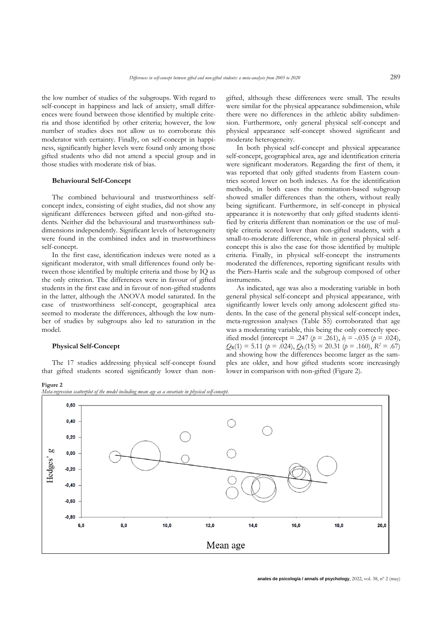the low number of studies of the subgroups. With regard to self-concept in happiness and lack of anxiety, small differences were found between those identified by multiple criteria and those identified by other criteria; however, the low number of studies does not allow us to corroborate this moderator with certainty. Finally, on self-concept in happiness, significantly higher levels were found only among those gifted students who did not attend a special group and in those studies with moderate risk of bias.

#### **Behavioural Self-Concept**

The combined behavioural and trustworthiness selfconcept index, consisting of eight studies, did not show any significant differences between gifted and non-gifted students. Neither did the behavioural and trustworthiness subdimensions independently. Significant levels of heterogeneity were found in the combined index and in trustworthiness self-concept.

In the first case, identification indexes were noted as a significant moderator, with small differences found only between those identified by multiple criteria and those by IQ as the only criterion. The differences were in favour of gifted students in the first case and in favour of non-gifted students in the latter, although the ANOVA model saturated. In the case of trustworthiness self-concept, geographical area seemed to moderate the differences, although the low number of studies by subgroups also led to saturation in the model.

#### **Physical Self-Concept**

The 17 studies addressing physical self-concept found that gifted students scored significantly lower than nongifted, although these differences were small. The results were similar for the physical appearance subdimension, while there were no differences in the athletic ability subdimension. Furthermore, only general physical self-concept and physical appearance self-concept showed significant and moderate heterogeneity.

In both physical self-concept and physical appearance self-concept, geographical area, age and identification criteria were significant moderators. Regarding the first of them, it was reported that only gifted students from Eastern countries scored lower on both indexes. As for the identification methods, in both cases the nomination-based subgroup showed smaller differences than the others, without really being significant. Furthermore, in self-concept in physical appearance it is noteworthy that only gifted students identified by criteria different than nomination or the use of multiple criteria scored lower than non-gifted students, with a small-to-moderate difference, while in general physical selfconcept this is also the case for those identified by multiple criteria. Finally, in physical self-concept the instruments moderated the differences, reporting significant results with the Piers-Harris scale and the subgroup composed of other instruments.

As indicated, age was also a moderating variable in both general physical self-concept and physical appearance, with significantly lower levels only among adolescent gifted students. In the case of the general physical self-concept index, meta-regression analyses (Table S5) corroborated that age was a moderating variable, this being the only correctly specified model (intercept = .247 ( $p = .261$ ),  $b_i = -.035$  ( $p = .024$ ),  $Q_{\rm R}(1) = 5.11$  ( $p = .024$ ),  $Q_{\rm E}(15) = 20.31$  ( $p = .160$ ),  $R^2 = .67$ ) and showing how the differences become larger as the samples are older, and how gifted students score increasingly lower in comparison with non-gifted (Figure 2).

**Figure 2**

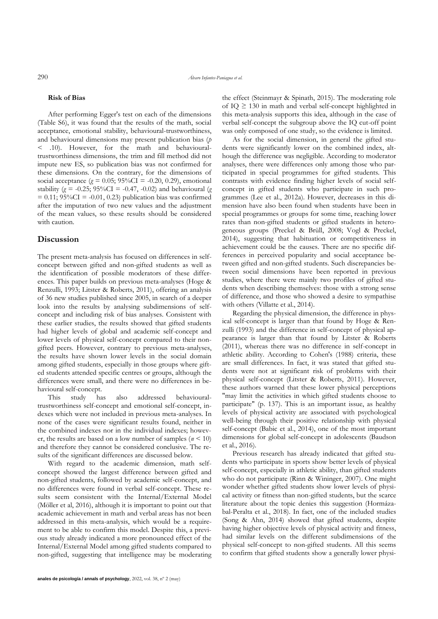#### **Risk of Bias**

After performing Egger's test on each of the dimensions (Table S6), it was found that the results of the math, social acceptance, emotional stability, behavioural-trustworthiness, and behavioural dimensions may present publication bias (*p* < .10). However, for the math and behaviouraltrustworthiness dimensions, the trim and fill method did not impute new ES, so publication bias was not confirmed for these dimensions. On the contrary, for the dimensions of social acceptance ( $g = 0.05$ ; 95%CI = -0.20, 0.29), emotional stability ( $g = -0.25$ ; 95%CI = -0.47, -0.02) and behavioural (*g*  $= 0.11$ ; 95%CI = -0.01, 0.23) publication bias was confirmed after the imputation of two new values and the adjustment of the mean values, so these results should be considered with caution.

#### **Discussion**

The present meta-analysis has focused on differences in selfconcept between gifted and non-gifted students as well as the identification of possible moderators of these differences. This paper builds on previous meta-analyses (Hoge & Renzulli, 1993; Litster & Roberts, 2011), offering an analysis of 36 new studies published since 2005, in search of a deeper look into the results by analysing subdimensions of selfconcept and including risk of bias analyses. Consistent with these earlier studies, the results showed that gifted students had higher levels of global and academic self-concept and lower levels of physical self-concept compared to their nongifted peers. However, contrary to previous meta-analyses, the results have shown lower levels in the social domain among gifted students, especially in those groups where gifted students attended specific centres or groups, although the differences were small, and there were no differences in behavioural self-concept.

This study has also addressed behaviouraltrustworthiness self-concept and emotional self-concept, indexes which were not included in previous meta-analyses. In none of the cases were significant results found, neither in the combined indexes nor in the individual indexes; however, the results are based on a low number of samples (*n* < 10) and therefore they cannot be considered conclusive. The results of the significant differences are discussed below.

With regard to the academic dimension, math selfconcept showed the largest difference between gifted and non-gifted students, followed by academic self-concept, and no differences were found in verbal self-concept. These results seem consistent with the Internal/External Model (Möller et al, 2016), although it is important to point out that academic achievement in math and verbal areas has not been addressed in this meta-analysis, which would be a requirement to be able to confirm this model. Despite this, a previous study already indicated a more pronounced effect of the Internal/External Model among gifted students compared to non-gifted, suggesting that intelligence may be moderating the effect (Steinmayr & Spinath, 2015). The moderating role of  $IQ \geq 130$  in math and verbal self-concept highlighted in this meta-analysis supports this idea, although in the case of verbal self-concept the subgroup above the IQ cut-off point was only composed of one study, so the evidence is limited.

As for the social dimension, in general the gifted students were significantly lower on the combined index, although the difference was negligible. According to moderator analyses, there were differences only among those who participated in special programmes for gifted students. This contrasts with evidence finding higher levels of social selfconcept in gifted students who participate in such programmes (Lee et al., 2012a). However, decreases in this dimension have also been found when students have been in special programmes or groups for some time, reaching lower rates than non-gifted students or gifted students in heterogeneous groups (Preckel & Brüll, 2008; Vogl & Preckel, 2014), suggesting that habituation or competitiveness in achievement could be the causes. There are no specific differences in perceived popularity and social acceptance between gifted and non-gifted students. Such discrepancies between social dimensions have been reported in previous studies, where there were mainly two profiles of gifted students when describing themselves: those with a strong sense of difference, and those who showed a desire to sympathise with others (Villatte et al., 2014).

Regarding the physical dimension, the difference in physical self-concept is larger than that found by Hoge & Renzulli (1993) and the difference in self-concept of physical appearance is larger than that found by Litster & Roberts (2011), whereas there was no difference in self-concept in athletic ability. According to Cohen's (1988) criteria, these are small differences. In fact, it was stated that gifted students were not at significant risk of problems with their physical self-concept (Litster & Roberts, 2011). However, these authors warned that these lower physical perceptions "may limit the activities in which gifted students choose to participate" (p. 137). This is an important issue, as healthy levels of physical activity are associated with psychological well-being through their positive relationship with physical self-concept (Babic et al., 2014), one of the most important dimensions for global self-concept in adolescents (Baudson et al., 2016).

Previous research has already indicated that gifted students who participate in sports show better levels of physical self-concept, especially in athletic ability, than gifted students who do not participate (Rinn & Wininger, 2007). One might wonder whether gifted students show lower levels of physical activity or fitness than non-gifted students, but the scarce literature about the topic denies this suggestion (Hormázabal-Peralta et al., 2018). In fact, one of the included studies (Song & Ahn, 2014) showed that gifted students, despite having higher objective levels of physical activity and fitness, had similar levels on the different subdimensions of the physical self-concept to non-gifted students. All this seems to confirm that gifted students show a generally lower physi-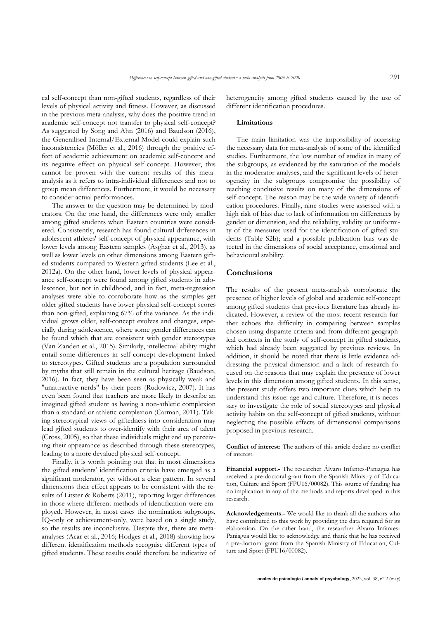cal self-concept than non-gifted students, regardless of their levels of physical activity and fitness. However, as discussed in the previous meta-analysis, why does the positive trend in academic self-concept not transfer to physical self-concept? As suggested by Song and Ahn (2016) and Baudson (2016), the Generalised Internal/External Model could explain such inconsistencies (Möller et al., 2016) through the positive effect of academic achievement on academic self-concept and its negative effect on physical self-concept. However, this cannot be proven with the current results of this metaanalysis as it refers to intra-individual differences and not to group mean differences. Furthermore, it would be necessary to consider actual performances.

The answer to the question may be determined by moderators. On the one hand, the differences were only smaller among gifted students when Eastern countries were considered. Consistently, research has found cultural differences in adolescent athletes' self-concept of physical appearance, with lower levels among Eastern samples (Asghar et al., 2013), as well as lower levels on other dimensions among Eastern gifted students compared to Western gifted students (Lee et al., 2012a). On the other hand, lower levels of physical appearance self-concept were found among gifted students in adolescence, but not in childhood, and in fact, meta-regression analyses were able to corroborate how as the samples get older gifted students have lower physical self-concept scores than non-gifted, explaining 67% of the variance. As the individual grows older, self-concept evolves and changes, especially during adolescence, where some gender differences can be found which that are consistent with gender stereotypes (Van Zanden et al., 2015). Similarly, intellectual ability might entail some differences in self-concept development linked to stereotypes. Gifted students are a population surrounded by myths that still remain in the cultural heritage (Baudson, 2016). In fact, they have been seen as physically weak and "unattractive nerds" by their peers (Rudowicz, 2007). It has even been found that teachers are more likely to describe an imagined gifted student as having a non-athletic complexion than a standard or athletic complexion (Carman, 2011). Taking stereotypical views of giftedness into consideration may lead gifted students to over-identify with their area of talent (Cross, 2005), so that these individuals might end up perceiving their appearance as described through these stereotypes, leading to a more devalued physical self-concept.

Finally, it is worth pointing out that in most dimensions the gifted students' identification criteria have emerged as a significant moderator, yet without a clear pattern. In several dimensions their effect appears to be consistent with the results of Litster & Roberts (2011), reporting larger differences in those where different methods of identification were employed. However, in most cases the nomination subgroups, IQ-only or achievement-only, were based on a single study, so the results are inconclusive. Despite this, there are metaanalyses (Acar et al., 2016; Hodges et al., 2018) showing how different identification methods recognise different types of gifted students. These results could therefore be indicative of heterogeneity among gifted students caused by the use of different identification procedures.

#### **Limitations**

The main limitation was the impossibility of accessing the necessary data for meta-analysis of some of the identified studies. Furthermore, the low number of studies in many of the subgroups, as evidenced by the saturation of the models in the moderator analyses, and the significant levels of heterogeneity in the subgroups compromise the possibility of reaching conclusive results on many of the dimensions of self-concept. The reason may be the wide variety of identification procedures. Finally, nine studies were assessed with a high risk of bias due to lack of information on differences by gender or dimension, and the reliability, validity or uniformity of the measures used for the identification of gifted students (Table S2b); and a possible publication bias was detected in the dimensions of social acceptance, emotional and behavioural stability.

#### **Conclusions**

The results of the present meta-analysis corroborate the presence of higher levels of global and academic self-concept among gifted students that previous literature has already indicated. However, a review of the most recent research further echoes the difficulty in comparing between samples chosen using disparate criteria and from different geographical contexts in the study of self-concept in gifted students, which had already been suggested by previous reviews. In addition, it should be noted that there is little evidence addressing the physical dimension and a lack of research focused on the reasons that may explain the presence of lower levels in this dimension among gifted students. In this sense, the present study offers two important clues which help to understand this issue: age and culture. Therefore, it is necessary to investigate the role of social stereotypes and physical activity habits on the self-concept of gifted students, without neglecting the possible effects of dimensional comparisons proposed in previous research.

**Conflict of interest:** The authors of this article declare no conflict of interest.

**Financial support.-** The researcher Álvaro Infantes-Paniagua has received a pre-doctoral grant from the Spanish Ministry of Education, Culture and Sport (FPU16/00082). This source of funding has no implication in any of the methods and reports developed in this research.

**Acknowledgements.-** We would like to thank all the authors who have contributed to this work by providing the data required for its elaboration. On the other hand, the researcher Álvaro Infantes-Paniagua would like to acknowledge and thank that he has received a pre-doctoral grant from the Spanish Ministry of Education, Culture and Sport (FPU16/00082).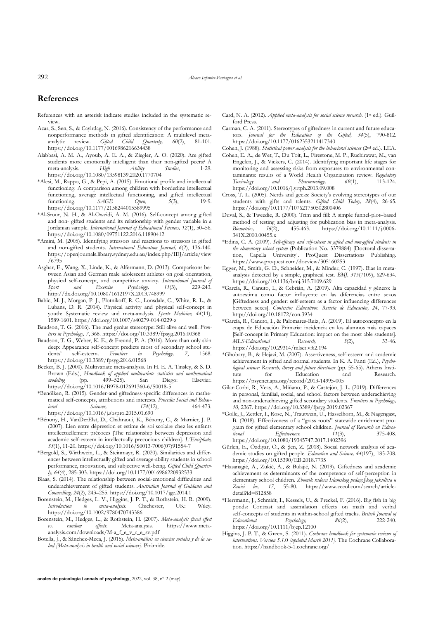## **References**

- References with an asterisk indicate studies included in the systematic review.
- Acar, S., Sen, S., & Cayirdag, N. (2016). Consistency of the performance and nonperformance methods in gifted identification: A multilevel meta-<br>analytic review. *Gifted Child Quarterly*, 60(2), 81-101. analytic review. *Gifted* https://doi.org/10.1177/0016986216634438
- Alabbasi, A. M. A., Ayoub, A. E. A., & Ziegler, A. O. (2020). Are gifted students more emotionally intelligent than their non-gifted peers? A meta-analysis. *High Ability Studies*, 1-29. https://doi.org/10.1080/13598139.2020.1770704
- \*Alesi, M., Rappo, G., & Pepi, A. (2015). Emotional profile and intellectual functioning: A comparison among children with borderline intellectual functioning, average intellectual functioning, and gifted intellectual functioning. *SAGE Open, 5*(3), 19-9. https://doi.org/10.1177/2158244015589995
- \*Al-Srour, N. H., & Al-Oweidi, A. M. (2016). Self-concept among gifted and non- gifted students and its relationship with gender variable in a Jordanian sample. *International Journal of Educational Sciences, 12*(1), 50–56. https://doi.org/10.1080/09751122.2016.11890412
- \*Amini, M. (2005). Identifying stressors and reactions to stressors in gifted and non-gifted students. *International Education Journal, 6*(2), 136-140. https://openjournals.library.sydney.edu.au/index.php/IEJ/article/view /6795
- Asghar, E., Wang, X., Linde, K., & Alfermann, D. (2013). Comparisons between Asian and German male adolescent athletes on goal orientation, physical self-concept, and competitive anxiety*. International Journal of Sport and Exercise Psychology, 11*(3), 229-243. http://dx.doi.org/10.1080/1612197X.2013.748999
- Babic, M. J., Morgan, P. J., Plotnikoff, R. C., Lonsdale, C., White, R. L., & Lubans, D. R. (2014). Physical activity and physical self-concept in youth: Systematic review and meta-analysis. *Sports Medicine, 44*(11), 1589-1601. https://doi.org/10.1007/s40279-014-0229-z
- Baudson, T. G. (2016). The mad genius stereotype: Still alive and well. *Frontiers in Psychology, 7*, 368. https://doi.org/10.3389/fpsyg.2016.00368
- Baudson, T. G., Weber, K. E., & Freund, P. A. (2016). More than only skin deep: Appearance self-concept predicts most of secondary school students' self-esteem. *Frontiers in Psychology, 7*, 1568. https://doi.org/10.3389/fpsyg.2016.01568
- Becker, B. J. (2000). Multivariate meta-analysis. In H. E. A. Tinsley, & S. D. Brown (Eds.), *Handbook of applied multivariate statistics and mathematical modeling* (pp. 499–525). San Diego: Elsevier. *modeling* (pp. 499–525). San Diego: Elsevier. https://doi.org/10.1016/B978-012691360-6/50018-5
- \*Benölken, R. (2015). Gender-and giftedness-specific differences in mathematical self-concepts, attributions and interests. *Procedia Social and Behavioral Sciences, 174*(12), 464-473. https://doi.org/10.1016/j.sbspro.2015.01.690
- \*Bénony, H., VanDerElst, D., Chahraoui, K., Bénony, C., & Marnier, J. P. (2007). Lien entre dépression et estime de soi scolaire chez les enfants intellectuellement précoces [The relationship between depression and academic self-esteem in intellectually precocious children]. *L'Encéphale, 33*(1), 11-20. https://doi.org/10.1016/S0013-7006(07)91554-7
- \*Bergold, S., Wirthwein, L., & Steinmayr, R. (2020). Similarities and differences between intellectually gifted and average-ability students in school performance, motivation, and subjective well-being. *Gifted Child Quarterly, 64*(4), 285-303. https://doi.org/10.1177/0016986220932533
- Blaas, S. (2014). The relationship between social-emotional difficulties and underachievement of gifted students. *Australian Journal of Guidance and Counselling, 24*(2), 243–255. https://doi.org/10.1017/jgc.2014.1
- Borenstein, M., Hedges, L. V., Higgins, J. P. T., & Rothstein, H. R. (2009).<br> *Introduction to meta-analysis*. Chichester, UK: Wiley. *Introduction to meta-analysis*. Chichester, UK: Wiley. https://doi.org/10.1002/9780470743386
- Borenstein, M., Hedges, L., & Rothstein, H. (2007). *Meta-analysis fixed effect vs. random effects*. Meta-analysis. https://www.metaanalysis.com/downloads/M-a\_f\_e\_v\_r\_e\_sv.pdf
- Botella, J., & Sánchez-Meca, J. (2015). *Meta-análisis en ciencias sociales y de la salud [Meta-analysis in health and social sciences]*. Pirámide.
- Card, N. A. (2012). *Applied meta-analysis for social science research*. (1<sup>st</sup> ed.). Guilford Press.
- Carman, C. A. (2011). Stereotypes of giftedness in current and future educators. *Journal for the Education of the Gifted, 34*(5), 790-812. https://doi.org/10.1177/0162353211417340
- Cohen, J. (1988). *Statistical power analysis for the behavioral sciences* (2nd ed.). LEA.
- Cohen, E. A., de Wet, T., Du Toit, L., Firestone, M. P., Ruchirawat, M., van Engelen, J., & Vickers, C. (2014). Identifying important life stages for monitoring and assessing risks from exposures to environmental contaminants: results of a World Health Organization review. *Regulatory Toxicology* and Pharmacology, 69(1), 113-124. Toxicology and Pharmacology, https://doi.org/10.1016/j.yrtph.2013.09.008
- Cross, T. L. (2005). Nerds and geeks: Society's evolving stereotypes of our students with gifts and talents. *Gifted Child Today, 28*(4), 26-65. https://doi.org/10.1177/107621750502800406
- Duval, S., & Tweedie, R. (2000). Trim and fill: A simple funnel‐plot–based method of testing and adjusting for publication bias in meta-analysis.<br> *Biometrics*, 56(2), 455-463. https://doi.org/10.1111/j.0006-*Biometrics, 56*(2), 455-463. https://doi.org/10.1111/j.0006- 341X.2000.00455.x
- \*Edins, C. A. (2009). *Self-efficacy and self-esteem in gifted and non-gifted students in the elementary school system* (Publication No. 3379884) [Doctoral dissertation, Capella University]. ProQuest Dissertations Publishing. https://www.proquest.com/docview/305160253
- Egger, M., Smith, G. D., Schneider, M., & Minder, C. (1997). Bias in metaanalysis detected by a simple, graphical test. *BMJ, 315*(7109), 629-634. https://doi.org/10.1136/bmj.315.7109.629
- \*García, R., Canuto, I., & Cebrián, A. (2019). Alta capacidad y género: la autoestima como factor influyente en las diferencias entre sexos [Giftedness and gender: self-esteem as a factor influencing differences between sexes]. *Contextos Educativos. Revista de Educación, 24*, 77-93. http://doi.org/10.18172/con.3934
- \*García, R., Canuto, I., & Palomares-Ruiz, A. (2019). El autoconcepto en la etapa de Educación Primaria: incidencia en los alumnos más capaces [Self-concept in Primary Education: impact on the most able students]. *MLS-Educational Research, 3*(2), 33-46. https://doi.org/10.29314/mlser.v3i2.194
- \*Ghobary, B., & Hejazi, M. (2007). Assertiveness, self-esteem and academic achievement in gifted and normal students. In K. A. Fanti (Ed.), *Psychological science: Research, theory and future directions* (pp. 55-65). Athens Institute for Education and Research. https://psycnet.apa.org/record/2013-14995-005
- Gilar-Corbi, R., Veas, A., Miñano, P., & Castejón, J. L. (2019). Differences in personal, familial, social, and school factors between underachieving and non-underachieving gifted secondary students. *Frontiers in Psychology, 10*, 2367. https://doi.org/10.3389/fpsyg.2019.02367
- \*Golle, J., Zettler, I., Rose, N., Trautwein, U., Hasselhorn, M., & Nagengast, B. (2018). Effectiveness of a "grass roots" statewide enrichment program for gifted elementary school children. *Journal of Research on Educational Effectiveness, 11*(3), 375-408. https://doi.org/10.1080/19345747.2017.1402396
- Gürlen, E., Özdiyar, Ö., & Şen, Z. (2018). Social network analysis of academic studies on gifted people. *Education and Science, 44*(197), 185-208. https://doi.org/10.15390/EB.2018.7735
- \*Hasanagić, A., Zukić, A., & Bulajić, N. (2019). Giftedness and academic achievement as determinants of the competence of self-perception in elementary school children. *Zbomik radova Islamskog pedago§kog fakulteta u Zenici br., 17*, 55-80. https://www.ceeol.com/search/articledetail?id=812858
- \*Herrmann, J., Schmidt, I., Kessels, U., & Preckel, F. (2016). Big fish in big ponds: Contrast and assimilation effects on math and verbal self-concepts of students in within-school gifted tracks. *British Journal of Educational* Psychology,  $86(2)$ , 222-240. *Educational Psychology, 86*(2), 222-240. https://doi.org/10.1111/bjep.12100
- Higgins, J. P. T., & Green, S. (2011). *Cochrane handbook for systematic reviews of interventions. Version 5.1.*0 *[updated March 2011]*. The Cochrane Collaboration. https://handbook-5-1.cochrane.org/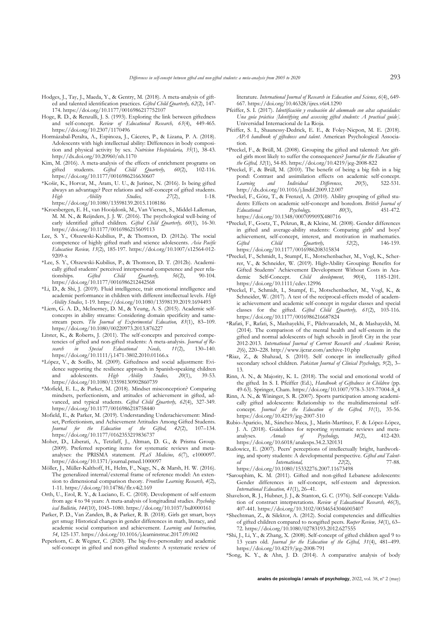- Hodges, J., Tay, J., Maeda, Y., & Gentry, M. (2018). A meta-analysis of gifted and talented identification practices. *Gifted Child Quarterly, 62*(2), 147- 174. https://doi.org/10.1177/0016986217752107
- Hoge, R. D., & Renzulli, J. S. (1993). Exploring the link between giftedness and self-concept. *Review of Educational Research, 63*(4), 449-465. https://doi.org/10.2307/1170496
- Hormázabal-Peralta, A., Espinoza, J., Cáceres, P., & Lizana, P. A. (2018). Adolescents with high intellectual ability: Differences in body composition and physical activity by sex. *Nutricion Hospitalaria, 35*(1), 38-43. http://dx.doi.org/10.20960/nh.1170
- Kim, M. (2016). A meta-analysis of the effects of enrichment programs on gifted students. *Gifted Child Quarterly*,  $60(2)$ , 102-116. Gifted Child Quarterly, https://doi.org/10.1177/0016986216630607
- \*Košir, K., Horvat, M., Aram, U. U., & Jurinec, N. (2016). Is being gifted always an advantage? Peer relations and self-concept of gifted students.<br>High Ability Studies, 27(2), 1-18. *High Ability Studies, 27*(2), 1-18. https://doi.org/10.1080/13598139.2015.1108186
- \*Kroesbergen, E. H., van Hooijdonk, M., Van Viersen, S., Middel-Lalleman, M. M. N., & Reijnders, J. J. W. (2016). The psychological well-being of early identified gifted children. *Gifted Child Quarterly, 60*(1), 16-30. https://doi.org/10.1177/0016986215609113
- Lee, S. Y., Olszewski-Kubilius, P., & Thomson, D. (2012a). The social competence of highly gifted math and science adolescents. Asia Pacific *Education Review, 13*(2), 185-197. https://doi.org/10.1007/s12564-012- 9209-x
- \*Lee, S. Y., Olszewski-Kubilius, P., & Thomson, D. T. (2012b). Academically gifted students' perceived interpersonal competence and peer rela-<br>tionships. Gifted Child Quarterly, 56(2), 90-104. tionships*. Gifted Child Quarterly, 56*(2), 90-104. https://doi.org/10.1177/0016986212442568
- \*Li, D., & Shi, J. (2019). Fluid intelligence, trait emotional intelligence and academic performance in children with different intellectual levels. *High Ability Studies*, 1-19. https://doi.org/10.1080/13598139.2019.1694493
- \*Liem, G. A. D., McInerney, D. M., & Yeung, A. S. (2015). Academic selfconcepts in ability streams: Considering domain specificity and samestream peers. *The Journal of Experimental Education, 83*(1), 83–109. https://doi.org/10.1080/00220973.2013.876227
- Litster, K., & Roberts, J. (2011). The self-concepts and perceived competencies of gifted and non-gifted students: A meta-analysis. *Journal of Re-*<br> *search* in Special Educational Needs, 11(2), 130–140. search in Special Educational Needs, 11(2), https://doi.org/10.1111/j.1471-3802.2010.01166.x
- \*López, V., & Sotillo, M. (2009). Giftedness and social adjustment: Evidence supporting the resilience approach in Spanish-speaking children and adolescents.  $High$  Ability Studies,  $20(1)$ , 39-53. adolescents. https://doi.org/10.1080/13598130902860739
- \*Mofield, E. L., & Parker, M. (2018). Mindset misconception? Comparing mindsets, perfectionism, and attitudes of achievement in gifted, advanced, and typical students. *Gifted Child Quarterly, 62*(4), 327-349. https://doi.org/10.1177/0016986218758440
- Mofield, E., & Parker, M. (2019). Understanding Underachievement: Mindset, Perfectionism, and Achievement Attitudes Among Gifted Students. *Journal for the Education of the Gifted, 42*(2), 107–134. https://doi.org/10.1177/0162353219836737
- Moher, D., Liberati, A., Tetzlaff, J., Altman, D. G., & Prisma Group. (2009). Preferred reporting items for systematic reviews and metaanalyses: the PRISMA statement. *PLoS Medicine, 6*(7), e1000097. https://doi.org/10.1371/journal.pmed.1000097
- Möller, J., Müller-Kalthoff, H., Helm, F., Nagy, N., & Marsh, H. W. (2016). The generalized internal/external frame of reference model: An extension to dimensional comparison theory. *Frontline Learning Research, 4*(2), 1-11. https://doi.org/10.14786/flr.v4i2.169
- Orth, U., Erol, R. Y., & Luciano, E. C. (2018). Development of self-esteem from age 4 to 94 years: A meta-analysis of longitudinal studies. *Psychological Bulletin, 144*(10), 1045–1080. https://doi.org/10.1037/bul0000161
- Parker, P. D., Van Zanden, B., & Parker, R. B. (2018). Girls get smart, boys get smug: Historical changes in gender differences in math, literacy, and academic social comparison and achievement. *Learning and Instruction, 54*, 125-137. https://doi.org/10.1016/j.learninstruc.2017.09.002
- Peperkorn, C. & Wegner, C. (2020). The big-five-personality and academic self-concept in gifted and non-gifted students: A systematic review of

literature. *International Journal of Research in Education and Science, 6*(4), 649- 667. https://doi.org/10.46328/ijres.v6i4.1290

- Pfeiffer, S. I. (2017). *Identificación y evaluación del alumnado con altas capacidades: Una guía práctica [Identifying and assessing gifted students: A practical guide]*. Universidad Internacional de La Rioja.
- Pfeiffer, S. I., Shaunessy-Dedrick, E. E., & Foley-Nicpon, M. E. (2018). *APA handbook of giftedness and talent*. American Psychological Association.
- \*Preckel, F., & Brüll, M. (2008). Grouping the gifted and talented: Are gifted girls most likely to suffer the consequences? *Journal for the Education of the Gifted, 32*(1), 54-85. https://doi.org/10.4219/jeg-2008-822
- \*Preckel, F., & Brüll, M. (2010). The benefit of being a big fish in a big pond: Contrast and assimilation effects on academic self-concept.<br>
Learning and Individual Differences, 20(5), 522-531. r<br>I earning http://dx.doi.org/10.1016/j.lindif.2009.12.007
- \*Preckel, F., Götz, T., & Frenzel, A. (2010). Ability grouping of gifted students: Effects on academic self‐concept and boredom. *British Journal of Educational Psychology, 80*(3), 451-472. https://doi.org/10.1348/000709909X480716
- \*Preckel, F., Goetz, T., Pekrun, R., & Kleine, M. (2008). Gender differences in gifted and average-ability students: Comparing girls' and boys' achievement, self-concept, interest, and motivation in mathematics. *Gifted Child Quarterly, 52*(2), 146-159. https://doi.org/10.1177/0016986208315834
- \*Preckel, F., Schmidt, I., Stumpf, E., Motschenbacher, M., Vogl, K., Scherrer, V., & Schneider, W. (2019). High‐Ability Grouping: Benefits for Gifted Students' Achievement Development Without Costs in Academic Self‐Concept. *Child development, 90*(4), 1185-1201. https://doi.org/10.1111/cdev.12996
- \*Preckel, F., Schmidt, I., Stumpf, E., Motschenbacher, M., Vogl, K., & Schneider, W. (2017). A test of the reciprocal-effects model of academic achievement and academic self-concept in regular classes and special classes for the gifted. *Gifted Child Quarterly, 61*(2), 103-116. https://doi.org/10.1177/0016986216687824
- \*Rafati, F., Rafati, S., Mashayekhi, F., Pilehvarzadeh, M., & Mashayekh, M. (2014). The comparison of the mental health and self-esteem in the gifted and normal adolescents of high schools in Jiroft City in the year 2012-2013. *International Journal of Current Research and Academic Review, 2*(6), 220–228. http://www.ijcrar.com/archive-10.php
- \*Riaz, Z., & Shahzad, S. (2010). Self concept in intellectually gifted secondary school children. *Pakistan Journal of Clinical Psychology, 9*(2), 3– 13.
- Rinn, A. N., & Majority, K. L. (2018). The social and emotional world of the gifted. In S. I. Pfeiffer (Ed.), *Handbook of Giftedness in Children* (pp. 49-63). Springer, Cham. https://doi.org/10.1007/978-3-319-77004-8\_4
- Rinn, A. N., & Wininger, S. R. (2007). Sports participation among academically gifted adolescents: Relationship to the multidimensional selfconcept. *Journal for the Education of the Gifted, 31*(1), 35-56. https://doi.org/10.4219/jeg-2007-510
- Rubio-Aparicio, M., Sánchez-Meca, J., Marín-Martínez, F. & López-López, J. A. (2018). Guidelines for reporting systematic reviews and metaanalyses. *Annals of Psychology, 34*(2), 412-420. https://doi.org/10.6018/analesps.34.2.320131
- Rudowicz, E. (2007). Peers' perceptions of intellectually bright, hardworking, and sporty students: A developmental perspective. *Gifted and Talent* $ed$  *International,*  $22(2)$ , https://doi.org/10.1080/15332276.2007.11673498
- 
- \*Sarouphim, K. M. (2011). Gifted and non-gifted Lebanese adolescents: Gender differences in self-concept, self-esteem and depression. *International Education, 41*(1), 26–41.
- Shavelson, R. J., Hubner, J. J., & Stanton, G. C. (1976). Self-concept: Validation of construct interpretations. *Review of Educational Research, 46*(3), 407-441. https://doi.org/10.3102/00346543046003407
- \*Shechtman, Z., & Silektor, A. (2012). Social competencies and difficulties of gifted children compared to nongifted peers. *Roeper Review, 34*(1), 63– 72. https://doi.org/10.1080/02783193.2012.627555
- \*Shi, J., Li, Y., & Zhang, X. (2008). Self-concept of gifted children aged 9 to 13 years old. *Journal for the Education of the Gifted, 31*(4), 481–499. https://doi.org/10.4219/jeg-2008-791
- \*Song, K. Y., & Ahn, J. D. (2014). A comparative analysis of body